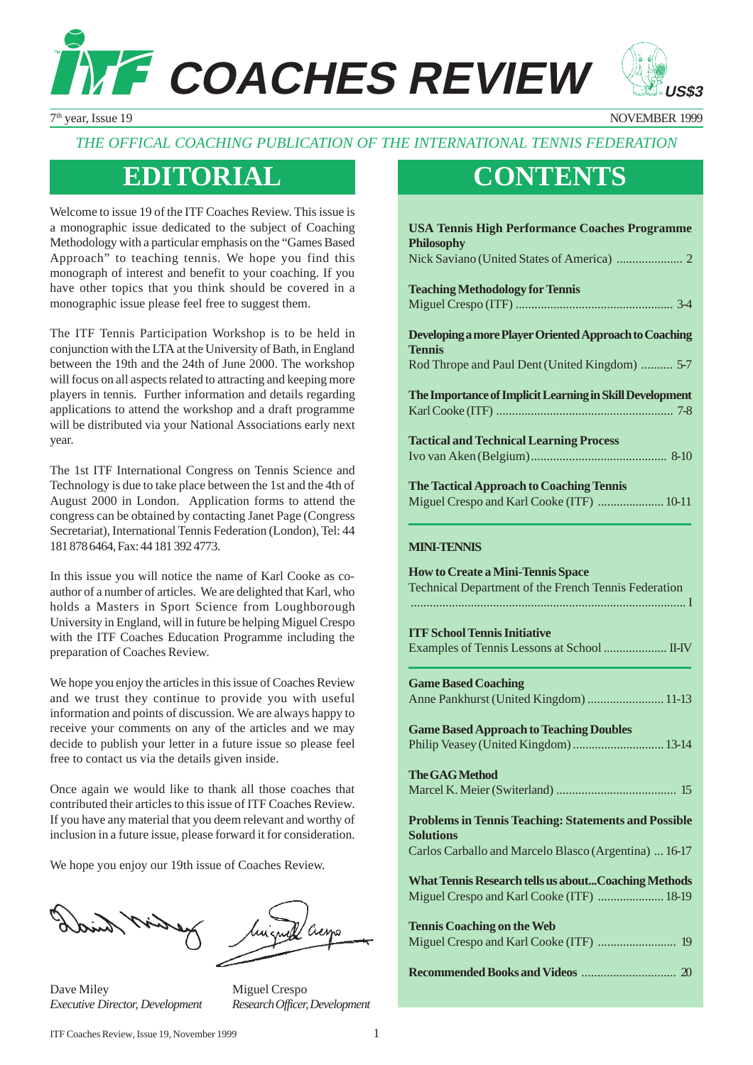



7th year, Issue 19 NOVEMBER 1999

### *THE OFFICAL COACHING PUBLICATION OF THE INTERNATIONAL TENNIS FEDERATION*

### **EDITORIAL CONTENTS**

Welcome to issue 19 of the ITF Coaches Review. This issue is a monographic issue dedicated to the subject of Coaching Methodology with a particular emphasis on the "Games Based Approach" to teaching tennis. We hope you find this monograph of interest and benefit to your coaching. If you have other topics that you think should be covered in a monographic issue please feel free to suggest them.

The ITF Tennis Participation Workshop is to be held in conjunction with the LTA at the University of Bath, in England between the 19th and the 24th of June 2000. The workshop will focus on all aspects related to attracting and keeping more players in tennis. Further information and details regarding applications to attend the workshop and a draft programme will be distributed via your National Associations early next year.

The 1st ITF International Congress on Tennis Science and Technology is due to take place between the 1st and the 4th of August 2000 in London. Application forms to attend the congress can be obtained by contacting Janet Page (Congress Secretariat), International Tennis Federation (London), Tel: 44 181 878 6464, Fax: 44 181 392 4773.

In this issue you will notice the name of Karl Cooke as coauthor of a number of articles. We are delighted that Karl, who holds a Masters in Sport Science from Loughborough University in England, will in future be helping Miguel Crespo with the ITF Coaches Education Programme including the preparation of Coaches Review.

We hope you enjoy the articles in this issue of Coaches Review and we trust they continue to provide you with useful information and points of discussion. We are always happy to receive your comments on any of the articles and we may decide to publish your letter in a future issue so please feel free to contact us via the details given inside.

Once again we would like to thank all those coaches that contributed their articles to this issue of ITF Coaches Review. If you have any material that you deem relevant and worthy of inclusion in a future issue, please forward it for consideration.

We hope you enjoy our 19th issue of Coaches Review.

Dave Miley Miguel Crespo *Executive Director, Development Research Officer, Development*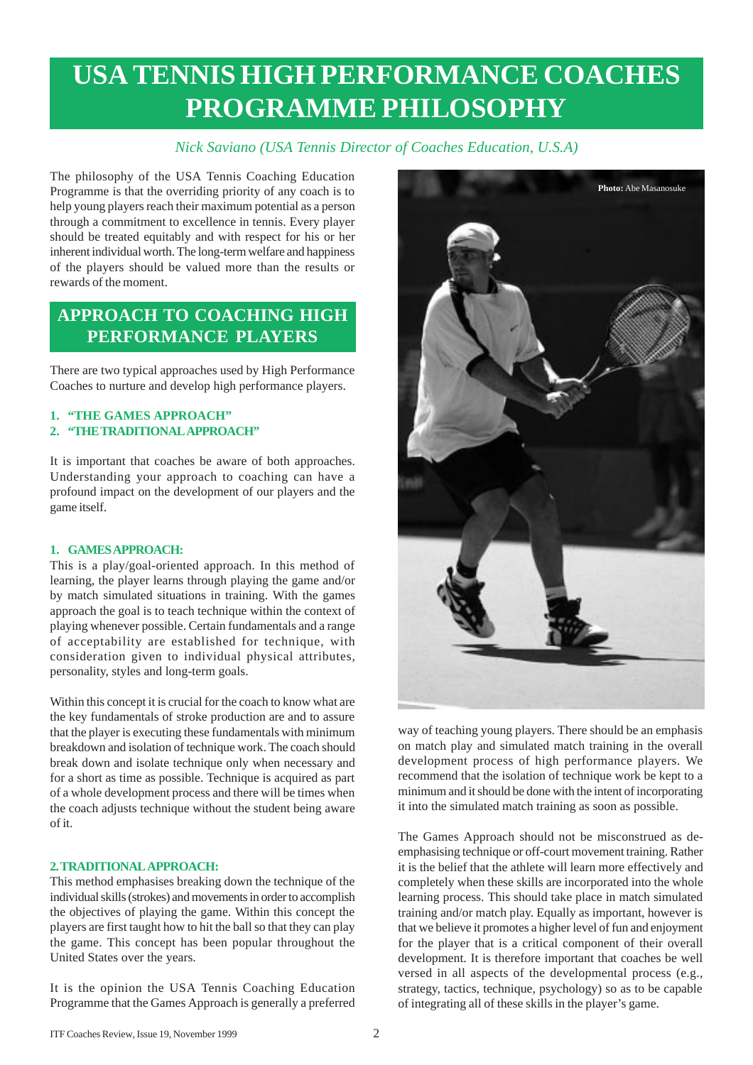## **USA TENNIS HIGH PERFORMANCE COACHES PROGRAMME PHILOSOPHY**

### *Nick Saviano (USA Tennis Director of Coaches Education, U.S.A)*

The philosophy of the USA Tennis Coaching Education Programme is that the overriding priority of any coach is to help young players reach their maximum potential as a person through a commitment to excellence in tennis. Every player should be treated equitably and with respect for his or her inherent individual worth. The long-term welfare and happiness of the players should be valued more than the results or rewards of the moment.

### **APPROACH TO COACHING HIGH PERFORMANCE PLAYERS**

There are two typical approaches used by High Performance Coaches to nurture and develop high performance players.

### **1. "THE GAMES APPROACH"**

**2. "THE TRADITIONAL APPROACH"**

It is important that coaches be aware of both approaches. Understanding your approach to coaching can have a profound impact on the development of our players and the game itself.

### **1. GAMES APPROACH:**

This is a play/goal-oriented approach. In this method of learning, the player learns through playing the game and/or by match simulated situations in training. With the games approach the goal is to teach technique within the context of playing whenever possible. Certain fundamentals and a range of acceptability are established for technique, with consideration given to individual physical attributes, personality, styles and long-term goals.

Within this concept it is crucial for the coach to know what are the key fundamentals of stroke production are and to assure that the player is executing these fundamentals with minimum breakdown and isolation of technique work. The coach should break down and isolate technique only when necessary and for a short as time as possible. Technique is acquired as part of a whole development process and there will be times when the coach adjusts technique without the student being aware of it.

### **2. TRADITIONAL APPROACH:**

This method emphasises breaking down the technique of the individual skills (strokes) and movements in order to accomplish the objectives of playing the game. Within this concept the players are first taught how to hit the ball so that they can play the game. This concept has been popular throughout the United States over the years.

It is the opinion the USA Tennis Coaching Education Programme that the Games Approach is generally a preferred



way of teaching young players. There should be an emphasis on match play and simulated match training in the overall development process of high performance players. We recommend that the isolation of technique work be kept to a minimum and it should be done with the intent of incorporating it into the simulated match training as soon as possible.

The Games Approach should not be misconstrued as deemphasising technique or off-court movement training. Rather it is the belief that the athlete will learn more effectively and completely when these skills are incorporated into the whole learning process. This should take place in match simulated training and/or match play. Equally as important, however is that we believe it promotes a higher level of fun and enjoyment for the player that is a critical component of their overall development. It is therefore important that coaches be well versed in all aspects of the developmental process (e.g., strategy, tactics, technique, psychology) so as to be capable of integrating all of these skills in the player's game.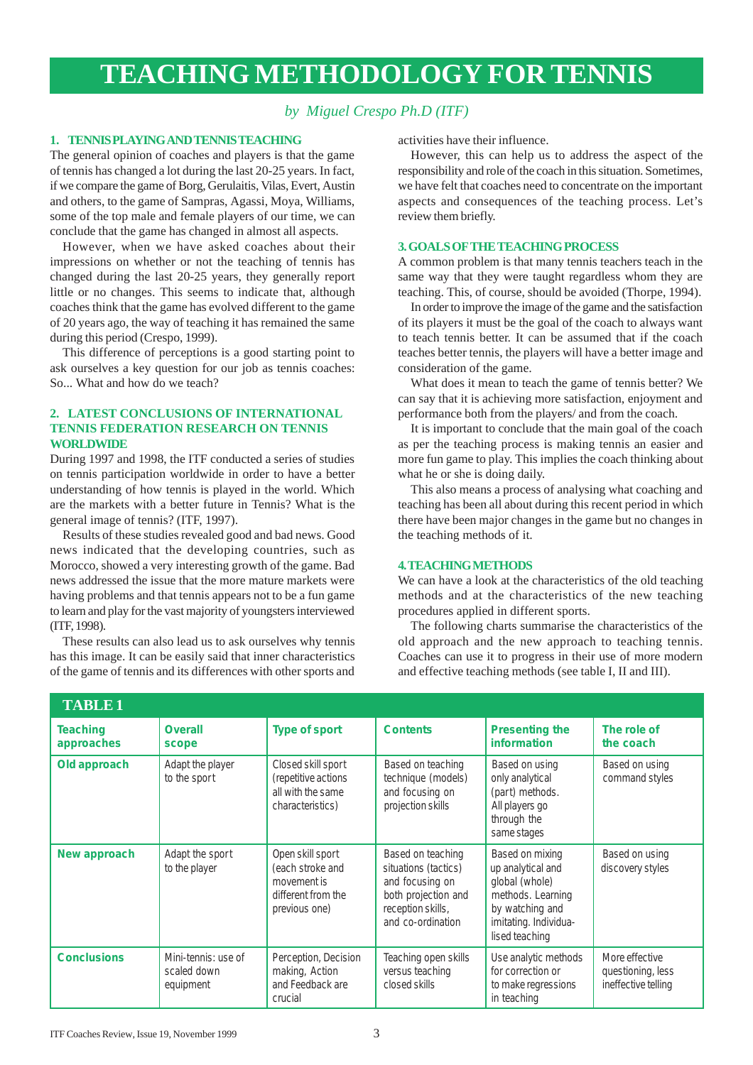## **TEACHING METHODOLOGY FOR TENNIS**

### *by Miguel Crespo Ph.D (ITF)*

### **1. TENNIS PLAYING AND TENNIS TEACHING**

The general opinion of coaches and players is that the game of tennis has changed a lot during the last 20-25 years. In fact, if we compare the game of Borg, Gerulaitis, Vilas, Evert, Austin and others, to the game of Sampras, Agassi, Moya, Williams, some of the top male and female players of our time, we can conclude that the game has changed in almost all aspects.

However, when we have asked coaches about their impressions on whether or not the teaching of tennis has changed during the last 20-25 years, they generally report little or no changes. This seems to indicate that, although coaches think that the game has evolved different to the game of 20 years ago, the way of teaching it has remained the same during this period (Crespo, 1999).

This difference of perceptions is a good starting point to ask ourselves a key question for our job as tennis coaches: So... What and how do we teach?

### **2. LATEST CONCLUSIONS OF INTERNATIONAL TENNIS FEDERATION RESEARCH ON TENNIS WORLDWIDE**

During 1997 and 1998, the ITF conducted a series of studies on tennis participation worldwide in order to have a better understanding of how tennis is played in the world. Which are the markets with a better future in Tennis? What is the general image of tennis? (ITF, 1997).

Results of these studies revealed good and bad news. Good news indicated that the developing countries, such as Morocco, showed a very interesting growth of the game. Bad news addressed the issue that the more mature markets were having problems and that tennis appears not to be a fun game to learn and play for the vast majority of youngsters interviewed (ITF, 1998).

These results can also lead us to ask ourselves why tennis has this image. It can be easily said that inner characteristics of the game of tennis and its differences with other sports and activities have their influence.

However, this can help us to address the aspect of the responsibility and role of the coach in this situation. Sometimes, we have felt that coaches need to concentrate on the important aspects and consequences of the teaching process. Let's review them briefly.

### **3. GOALS OF THE TEACHING PROCESS**

A common problem is that many tennis teachers teach in the same way that they were taught regardless whom they are teaching. This, of course, should be avoided (Thorpe, 1994).

In order to improve the image of the game and the satisfaction of its players it must be the goal of the coach to always want to teach tennis better. It can be assumed that if the coach teaches better tennis, the players will have a better image and consideration of the game.

What does it mean to teach the game of tennis better? We can say that it is achieving more satisfaction, enjoyment and performance both from the players/ and from the coach.

It is important to conclude that the main goal of the coach as per the teaching process is making tennis an easier and more fun game to play. This implies the coach thinking about what he or she is doing daily.

This also means a process of analysing what coaching and teaching has been all about during this recent period in which there have been major changes in the game but no changes in the teaching methods of it.

#### **4. TEACHING METHODS**

We can have a look at the characteristics of the old teaching methods and at the characteristics of the new teaching procedures applied in different sports.

The following charts summarise the characteristics of the old approach and the new approach to teaching tennis. Coaches can use it to progress in their use of more modern and effective teaching methods (see table I, II and III).

| <b>TABLE1</b>                 |                                                 |                                                                                            |                                                                                                                               |                                                                                                                                           |                                                            |
|-------------------------------|-------------------------------------------------|--------------------------------------------------------------------------------------------|-------------------------------------------------------------------------------------------------------------------------------|-------------------------------------------------------------------------------------------------------------------------------------------|------------------------------------------------------------|
| <b>Teaching</b><br>approaches | <b>Overall</b><br>scope                         | <b>Type of sport</b>                                                                       | <b>Contents</b>                                                                                                               | <b>Presenting the</b><br>information                                                                                                      | The role of<br>the coach                                   |
| Old approach                  | Adapt the player<br>to the sport                | Closed skill sport<br>(repetitive actions<br>all with the same<br>characteristics)         | Based on teaching<br>technique (models)<br>and focusing on<br>projection skills                                               | Based on using<br>only analytical<br>(part) methods.<br>All players go<br>through the<br>same stages                                      | Based on using<br>command styles                           |
| New approach                  | Adapt the sport<br>to the player                | Open skill sport<br>(each stroke and<br>movement is<br>different from the<br>previous one) | Based on teaching<br>situations (tactics)<br>and focusing on<br>both projection and<br>reception skills,<br>and co-ordination | Based on mixing<br>up analytical and<br>global (whole)<br>methods. Learning<br>by watching and<br>imitating. Individua-<br>lised teaching | Based on using<br>discovery styles                         |
| <b>Conclusions</b>            | Mini-tennis: use of<br>scaled down<br>equipment | Perception, Decision<br>making, Action<br>and Feedback are<br>crucial                      | Teaching open skills<br>versus teaching<br>closed skills                                                                      | Use analytic methods<br>for correction or<br>to make regressions<br>in teaching                                                           | More effective<br>questioning, less<br>ineffective telling |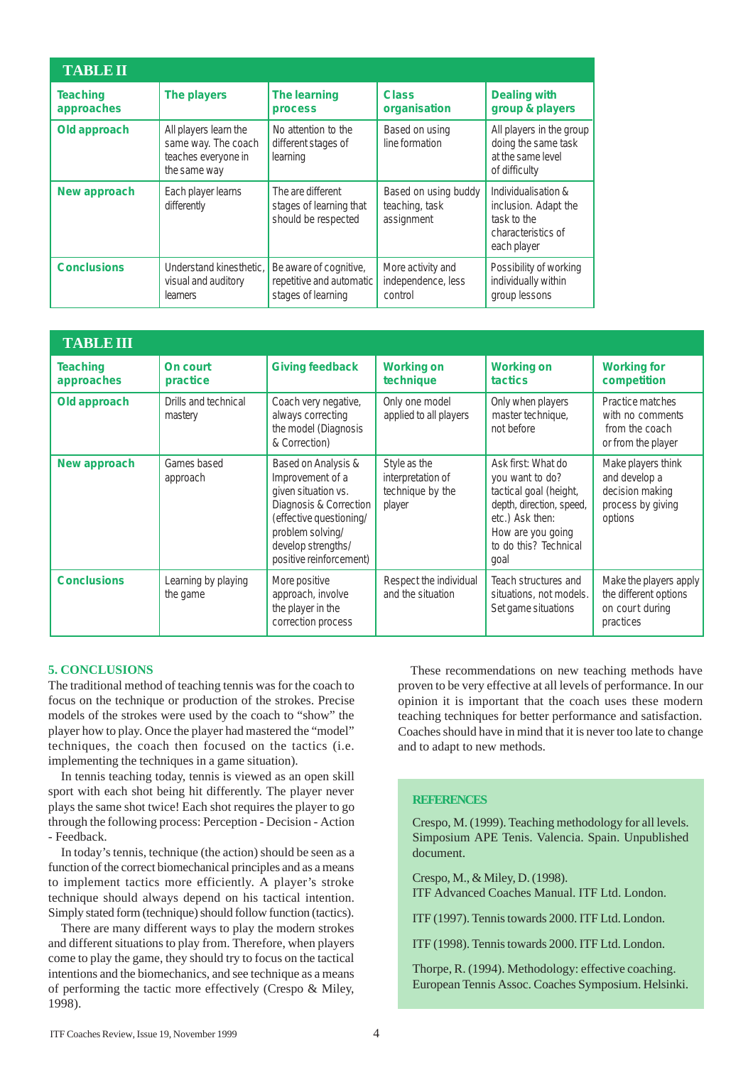| <b>TABLE II</b>               |                                                                                     |                                                                          |                                                      |                                                                                                 |
|-------------------------------|-------------------------------------------------------------------------------------|--------------------------------------------------------------------------|------------------------------------------------------|-------------------------------------------------------------------------------------------------|
| <b>Teaching</b><br>approaches | The players                                                                         | The learning<br>process                                                  | <b>Class</b><br>organisation                         | <b>Dealing with</b><br>group & players                                                          |
| Old approach                  | All players learn the<br>same way. The coach<br>teaches everyone in<br>the same way | No attention to the<br>different stages of<br>learning                   | Based on using<br>line formation                     | All players in the group<br>doing the same task<br>at the same level<br>of difficulty           |
| New approach                  | Each player learns<br>differently                                                   | The are different<br>stages of learning that<br>should be respected      | Based on using buddy<br>teaching, task<br>assignment | Individualisation &<br>inclusion. Adapt the<br>task to the<br>characteristics of<br>each player |
| <b>Conclusions</b>            | Understand kinesthetic.<br>visual and auditory<br><b>learners</b>                   | Be aware of cognitive,<br>repetitive and automatic<br>stages of learning | More activity and<br>independence, less<br>control   | Possibility of working<br>individually within<br>group lessons                                  |

| <b>TABLE III</b>       |                                 |                                                                                                                                                                                          |                                                                 |                                                                                                                                                                      |                                                                                        |
|------------------------|---------------------------------|------------------------------------------------------------------------------------------------------------------------------------------------------------------------------------------|-----------------------------------------------------------------|----------------------------------------------------------------------------------------------------------------------------------------------------------------------|----------------------------------------------------------------------------------------|
| Teaching<br>approaches | On court<br>practice            | <b>Giving feedback</b>                                                                                                                                                                   | <b>Working on</b><br>technique                                  | <b>Working on</b><br><b>tactics</b>                                                                                                                                  | <b>Working for</b><br>competition                                                      |
| Old approach           | Drills and technical<br>mastery | Coach very negative,<br>always correcting<br>the model (Diagnosis<br>& Correction)                                                                                                       | Only one model<br>applied to all players                        | Only when players<br>master technique,<br>not before                                                                                                                 | Practice matches<br>with no comments<br>from the coach<br>or from the player           |
| New approach           | Games based<br>approach         | Based on Analysis &<br>Improvement of a<br>given situation vs.<br>Diagnosis & Correction<br>(effective questioning/<br>problem solving/<br>develop strengths/<br>positive reinforcement) | Style as the<br>interpretation of<br>technique by the<br>player | Ask first: What do<br>you want to do?<br>tactical goal (height,<br>depth, direction, speed,<br>etc.) Ask then:<br>How are you going<br>to do this? Technical<br>goal | Make players think<br>and develop a<br>decision making<br>process by giving<br>options |
| <b>Conclusions</b>     | Learning by playing<br>the game | More positive<br>approach, involve<br>the player in the<br>correction process                                                                                                            | Respect the individual<br>and the situation                     | Teach structures and<br>situations, not models.<br>Set game situations                                                                                               | Make the players apply<br>the different options<br>on court during<br>practices        |

#### **5. CONCLUSIONS**

The traditional method of teaching tennis was for the coach to focus on the technique or production of the strokes. Precise models of the strokes were used by the coach to "show" the player how to play. Once the player had mastered the "model" techniques, the coach then focused on the tactics (i.e. implementing the techniques in a game situation).

In tennis teaching today, tennis is viewed as an open skill sport with each shot being hit differently. The player never plays the same shot twice! Each shot requires the player to go through the following process: Perception - Decision - Action - Feedback.

In today's tennis, technique (the action) should be seen as a function of the correct biomechanical principles and as a means to implement tactics more efficiently. A player's stroke technique should always depend on his tactical intention. Simply stated form (technique) should follow function (tactics).

There are many different ways to play the modern strokes and different situations to play from. Therefore, when players come to play the game, they should try to focus on the tactical intentions and the biomechanics, and see technique as a means of performing the tactic more effectively (Crespo & Miley, 1998).

These recommendations on new teaching methods have proven to be very effective at all levels of performance. In our opinion it is important that the coach uses these modern teaching techniques for better performance and satisfaction. Coaches should have in mind that it is never too late to change and to adapt to new methods.

#### **REFERENCES**

Crespo, M. (1999). Teaching methodology for all levels. Simposium APE Tenis. Valencia. Spain. Unpublished document.

Crespo, M., & Miley, D. (1998). ITF Advanced Coaches Manual. ITF Ltd. London.

ITF (1997). Tennis towards 2000. ITF Ltd. London.

ITF (1998). Tennis towards 2000. ITF Ltd. London.

Thorpe, R. (1994). Methodology: effective coaching. European Tennis Assoc. Coaches Symposium. Helsinki.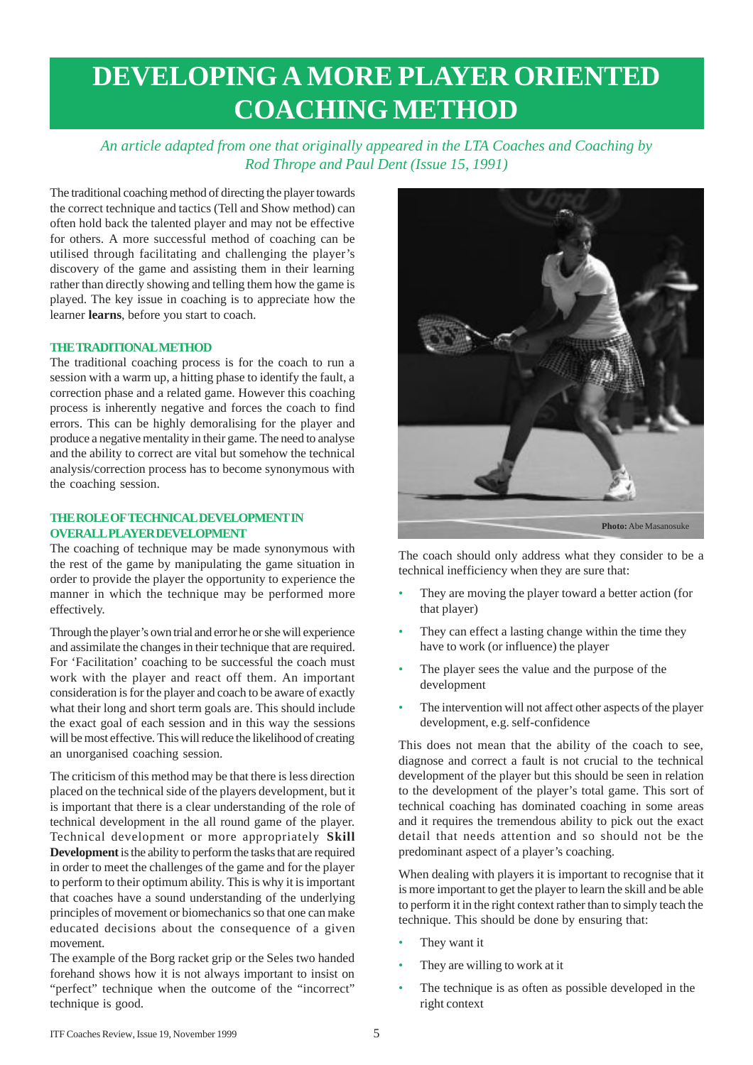## **DEVELOPING A MORE PLAYER ORIENTED COACHING METHOD**

*An article adapted from one that originally appeared in the LTA Coaches and Coaching by Rod Thrope and Paul Dent (Issue 15, 1991)*

The traditional coaching method of directing the player towards the correct technique and tactics (Tell and Show method) can often hold back the talented player and may not be effective for others. A more successful method of coaching can be utilised through facilitating and challenging the player's discovery of the game and assisting them in their learning rather than directly showing and telling them how the game is played. The key issue in coaching is to appreciate how the learner **learns**, before you start to coach.

### **THE TRADITIONAL METHOD**

The traditional coaching process is for the coach to run a session with a warm up, a hitting phase to identify the fault, a correction phase and a related game. However this coaching process is inherently negative and forces the coach to find errors. This can be highly demoralising for the player and produce a negative mentality in their game. The need to analyse and the ability to correct are vital but somehow the technical analysis/correction process has to become synonymous with the coaching session.

### **THE ROLE OF TECHNICAL DEVELOPMENT IN OVERALL PLAYER DEVELOPMENT**

The coaching of technique may be made synonymous with the rest of the game by manipulating the game situation in order to provide the player the opportunity to experience the manner in which the technique may be performed more effectively.

Through the player's own trial and error he or she will experience and assimilate the changes in their technique that are required. For 'Facilitation' coaching to be successful the coach must work with the player and react off them. An important consideration is for the player and coach to be aware of exactly what their long and short term goals are. This should include the exact goal of each session and in this way the sessions will be most effective. This will reduce the likelihood of creating an unorganised coaching session.

The criticism of this method may be that there is less direction placed on the technical side of the players development, but it is important that there is a clear understanding of the role of technical development in the all round game of the player. Technical development or more appropriately **Skill Development** is the ability to perform the tasks that are required in order to meet the challenges of the game and for the player to perform to their optimum ability. This is why it is important that coaches have a sound understanding of the underlying principles of movement or biomechanics so that one can make educated decisions about the consequence of a given movement.

The example of the Borg racket grip or the Seles two handed forehand shows how it is not always important to insist on "perfect" technique when the outcome of the "incorrect" technique is good.



The coach should only address what they consider to be a technical inefficiency when they are sure that:

- They are moving the player toward a better action (for that player)
- They can effect a lasting change within the time they have to work (or influence) the player
- The player sees the value and the purpose of the development
- The intervention will not affect other aspects of the player development, e.g. self-confidence

This does not mean that the ability of the coach to see, diagnose and correct a fault is not crucial to the technical development of the player but this should be seen in relation to the development of the player's total game. This sort of technical coaching has dominated coaching in some areas and it requires the tremendous ability to pick out the exact detail that needs attention and so should not be the predominant aspect of a player's coaching.

When dealing with players it is important to recognise that it is more important to get the player to learn the skill and be able to perform it in the right context rather than to simply teach the technique. This should be done by ensuring that:

- They want it
- They are willing to work at it
- The technique is as often as possible developed in the right context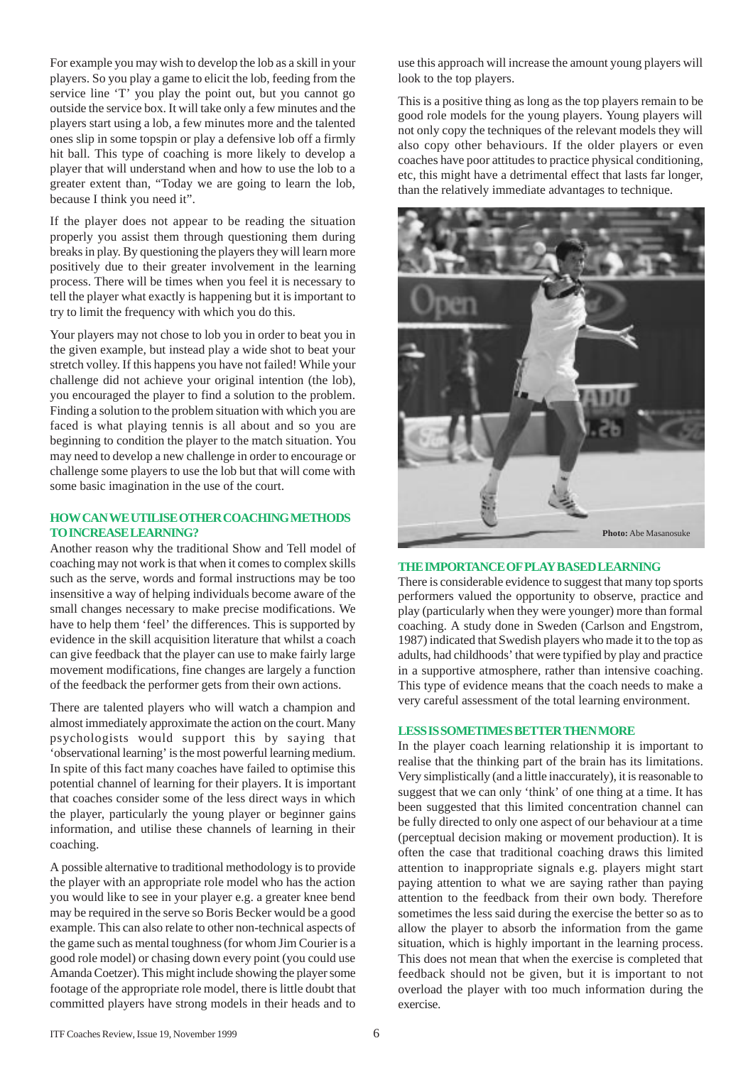For example you may wish to develop the lob as a skill in your players. So you play a game to elicit the lob, feeding from the service line 'T' you play the point out, but you cannot go outside the service box. It will take only a few minutes and the players start using a lob, a few minutes more and the talented ones slip in some topspin or play a defensive lob off a firmly hit ball. This type of coaching is more likely to develop a player that will understand when and how to use the lob to a greater extent than, "Today we are going to learn the lob, because I think you need it".

If the player does not appear to be reading the situation properly you assist them through questioning them during breaks in play. By questioning the players they will learn more positively due to their greater involvement in the learning process. There will be times when you feel it is necessary to tell the player what exactly is happening but it is important to try to limit the frequency with which you do this.

Your players may not chose to lob you in order to beat you in the given example, but instead play a wide shot to beat your stretch volley. If this happens you have not failed! While your challenge did not achieve your original intention (the lob), you encouraged the player to find a solution to the problem. Finding a solution to the problem situation with which you are faced is what playing tennis is all about and so you are beginning to condition the player to the match situation. You may need to develop a new challenge in order to encourage or challenge some players to use the lob but that will come with some basic imagination in the use of the court.

### **HOW CAN WE UTILISE OTHER COACHING METHODS TO INCREASE LEARNING?**

Another reason why the traditional Show and Tell model of coaching may not work is that when it comes to complex skills such as the serve, words and formal instructions may be too insensitive a way of helping individuals become aware of the small changes necessary to make precise modifications. We have to help them 'feel' the differences. This is supported by evidence in the skill acquisition literature that whilst a coach can give feedback that the player can use to make fairly large movement modifications, fine changes are largely a function of the feedback the performer gets from their own actions.

There are talented players who will watch a champion and almost immediately approximate the action on the court. Many psychologists would support this by saying that 'observational learning' is the most powerful learning medium. In spite of this fact many coaches have failed to optimise this potential channel of learning for their players. It is important that coaches consider some of the less direct ways in which the player, particularly the young player or beginner gains information, and utilise these channels of learning in their coaching.

A possible alternative to traditional methodology is to provide the player with an appropriate role model who has the action you would like to see in your player e.g. a greater knee bend may be required in the serve so Boris Becker would be a good example. This can also relate to other non-technical aspects of the game such as mental toughness (for whom Jim Courier is a good role model) or chasing down every point (you could use Amanda Coetzer). This might include showing the player some footage of the appropriate role model, there is little doubt that committed players have strong models in their heads and to

use this approach will increase the amount young players will look to the top players.

This is a positive thing as long as the top players remain to be good role models for the young players. Young players will not only copy the techniques of the relevant models they will also copy other behaviours. If the older players or even coaches have poor attitudes to practice physical conditioning, etc, this might have a detrimental effect that lasts far longer, than the relatively immediate advantages to technique.



### **THE IMPORTANCE OF PLAY BASED LEARNING**

There is considerable evidence to suggest that many top sports performers valued the opportunity to observe, practice and play (particularly when they were younger) more than formal coaching. A study done in Sweden (Carlson and Engstrom, 1987) indicated that Swedish players who made it to the top as adults, had childhoods' that were typified by play and practice in a supportive atmosphere, rather than intensive coaching. This type of evidence means that the coach needs to make a very careful assessment of the total learning environment.

#### **LESS IS SOMETIMES BETTER THEN MORE**

In the player coach learning relationship it is important to realise that the thinking part of the brain has its limitations. Very simplistically (and a little inaccurately), it is reasonable to suggest that we can only 'think' of one thing at a time. It has been suggested that this limited concentration channel can be fully directed to only one aspect of our behaviour at a time (perceptual decision making or movement production). It is often the case that traditional coaching draws this limited attention to inappropriate signals e.g. players might start paying attention to what we are saying rather than paying attention to the feedback from their own body. Therefore sometimes the less said during the exercise the better so as to allow the player to absorb the information from the game situation, which is highly important in the learning process. This does not mean that when the exercise is completed that feedback should not be given, but it is important to not overload the player with too much information during the exercise.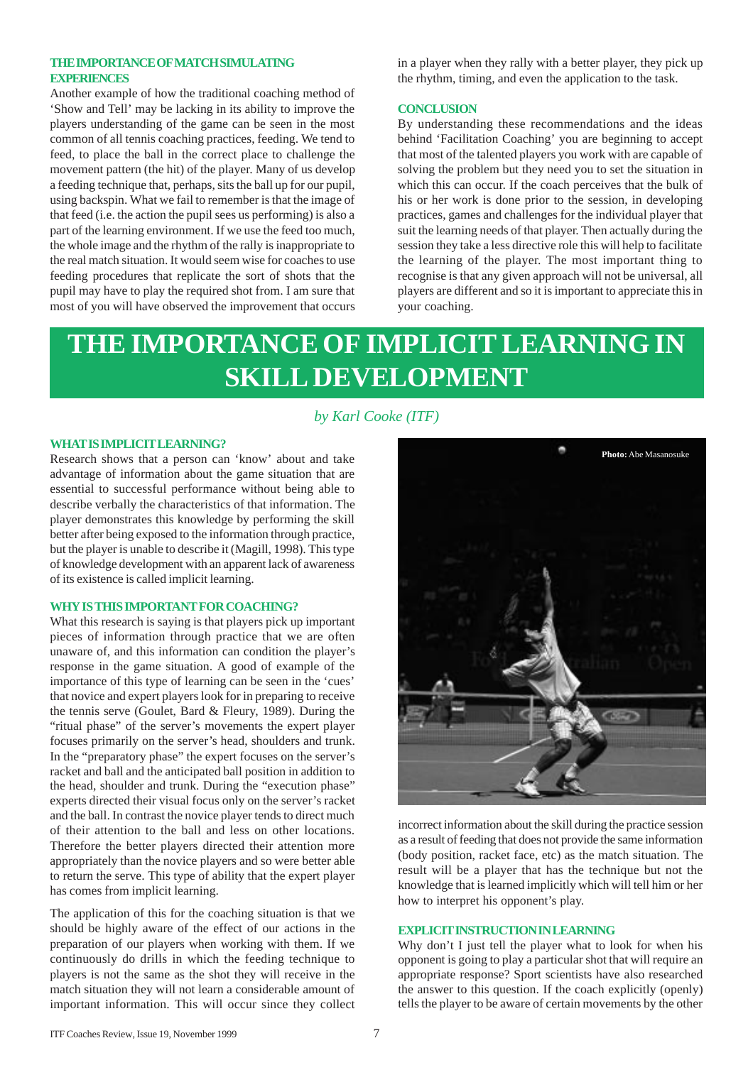### **THE IMPORTANCE OF MATCH SIMULATING EXPERIENCES**

Another example of how the traditional coaching method of 'Show and Tell' may be lacking in its ability to improve the players understanding of the game can be seen in the most common of all tennis coaching practices, feeding. We tend to feed, to place the ball in the correct place to challenge the movement pattern (the hit) of the player. Many of us develop a feeding technique that, perhaps, sits the ball up for our pupil, using backspin. What we fail to remember is that the image of that feed (i.e. the action the pupil sees us performing) is also a part of the learning environment. If we use the feed too much, the whole image and the rhythm of the rally is inappropriate to the real match situation. It would seem wise for coaches to use feeding procedures that replicate the sort of shots that the pupil may have to play the required shot from. I am sure that most of you will have observed the improvement that occurs

in a player when they rally with a better player, they pick up the rhythm, timing, and even the application to the task.

### **CONCLUSION**

By understanding these recommendations and the ideas behind 'Facilitation Coaching' you are beginning to accept that most of the talented players you work with are capable of solving the problem but they need you to set the situation in which this can occur. If the coach perceives that the bulk of his or her work is done prior to the session, in developing practices, games and challenges for the individual player that suit the learning needs of that player. Then actually during the session they take a less directive role this will help to facilitate the learning of the player. The most important thing to recognise is that any given approach will not be universal, all players are different and so it is important to appreciate this in your coaching.

## **THE IMPORTANCE OF IMPLICIT LEARNING IN SKILL DEVELOPMENT**

### *by Karl Cooke (ITF)*

#### **WHAT IS IMPLICIT LEARNING?**

Research shows that a person can 'know' about and take advantage of information about the game situation that are essential to successful performance without being able to describe verbally the characteristics of that information. The player demonstrates this knowledge by performing the skill better after being exposed to the information through practice, but the player is unable to describe it (Magill, 1998). This type of knowledge development with an apparent lack of awareness of its existence is called implicit learning.

#### **WHY IS THIS IMPORTANT FOR COACHING?**

What this research is saying is that players pick up important pieces of information through practice that we are often unaware of, and this information can condition the player's response in the game situation. A good of example of the importance of this type of learning can be seen in the 'cues' that novice and expert players look for in preparing to receive the tennis serve (Goulet, Bard & Fleury, 1989). During the "ritual phase" of the server's movements the expert player focuses primarily on the server's head, shoulders and trunk. In the "preparatory phase" the expert focuses on the server's racket and ball and the anticipated ball position in addition to the head, shoulder and trunk. During the "execution phase" experts directed their visual focus only on the server's racket and the ball. In contrast the novice player tends to direct much of their attention to the ball and less on other locations. Therefore the better players directed their attention more appropriately than the novice players and so were better able to return the serve. This type of ability that the expert player has comes from implicit learning.

The application of this for the coaching situation is that we should be highly aware of the effect of our actions in the preparation of our players when working with them. If we continuously do drills in which the feeding technique to players is not the same as the shot they will receive in the match situation they will not learn a considerable amount of important information. This will occur since they collect



incorrect information about the skill during the practice session as a result of feeding that does not provide the same information (body position, racket face, etc) as the match situation. The result will be a player that has the technique but not the knowledge that is learned implicitly which will tell him or her how to interpret his opponent's play.

### **EXPLICIT INSTRUCTION IN LEARNING**

Why don't I just tell the player what to look for when his opponent is going to play a particular shot that will require an appropriate response? Sport scientists have also researched the answer to this question. If the coach explicitly (openly) tells the player to be aware of certain movements by the other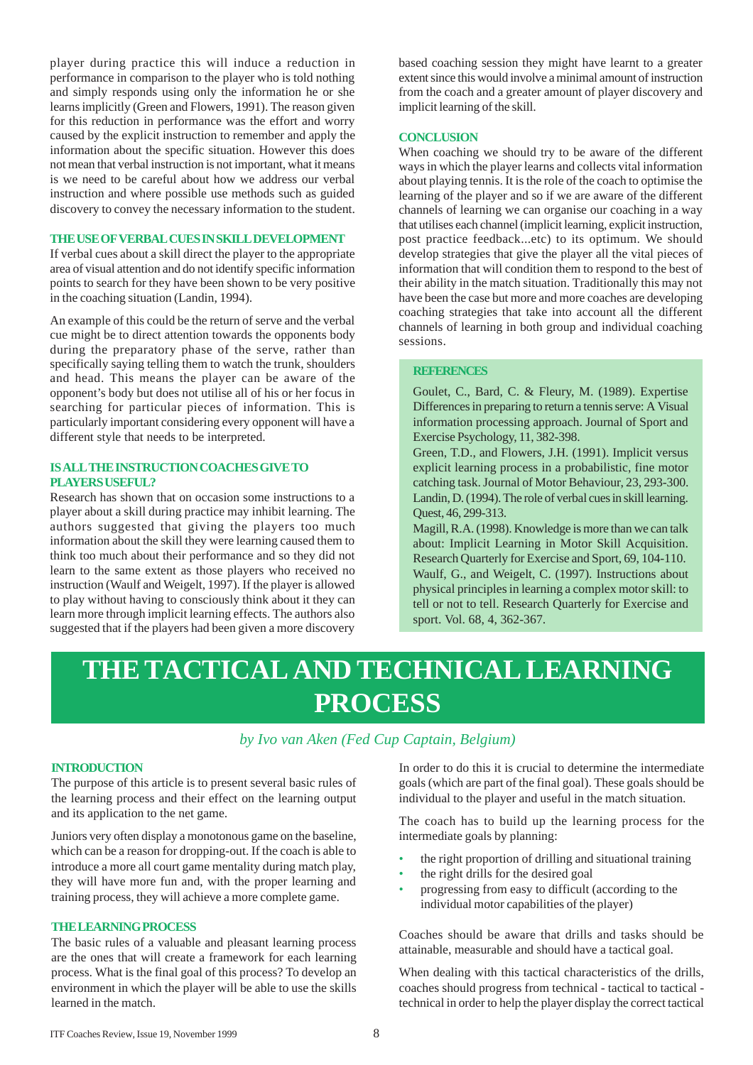player during practice this will induce a reduction in performance in comparison to the player who is told nothing and simply responds using only the information he or she learns implicitly (Green and Flowers, 1991). The reason given for this reduction in performance was the effort and worry caused by the explicit instruction to remember and apply the information about the specific situation. However this does not mean that verbal instruction is not important, what it means is we need to be careful about how we address our verbal instruction and where possible use methods such as guided discovery to convey the necessary information to the student.

### **THE USE OF VERBAL CUES IN SKILL DEVELOPMENT**

If verbal cues about a skill direct the player to the appropriate area of visual attention and do not identify specific information points to search for they have been shown to be very positive in the coaching situation (Landin, 1994).

An example of this could be the return of serve and the verbal cue might be to direct attention towards the opponents body during the preparatory phase of the serve, rather than specifically saying telling them to watch the trunk, shoulders and head. This means the player can be aware of the opponent's body but does not utilise all of his or her focus in searching for particular pieces of information. This is particularly important considering every opponent will have a different style that needs to be interpreted.

### **IS ALL THE INSTRUCTION COACHES GIVE TO PLAYERS USEFUL?**

Research has shown that on occasion some instructions to a player about a skill during practice may inhibit learning. The authors suggested that giving the players too much information about the skill they were learning caused them to think too much about their performance and so they did not learn to the same extent as those players who received no instruction (Waulf and Weigelt, 1997). If the player is allowed to play without having to consciously think about it they can learn more through implicit learning effects. The authors also suggested that if the players had been given a more discovery

based coaching session they might have learnt to a greater extent since this would involve a minimal amount of instruction from the coach and a greater amount of player discovery and implicit learning of the skill.

#### **CONCLUSION**

When coaching we should try to be aware of the different ways in which the player learns and collects vital information about playing tennis. It is the role of the coach to optimise the learning of the player and so if we are aware of the different channels of learning we can organise our coaching in a way that utilises each channel (implicit learning, explicit instruction, post practice feedback...etc) to its optimum. We should develop strategies that give the player all the vital pieces of information that will condition them to respond to the best of their ability in the match situation. Traditionally this may not have been the case but more and more coaches are developing coaching strategies that take into account all the different channels of learning in both group and individual coaching sessions.

#### **REFERENCES**

Goulet, C., Bard, C. & Fleury, M. (1989). Expertise Differences in preparing to return a tennis serve: A Visual information processing approach. Journal of Sport and Exercise Psychology, 11, 382-398.

Green, T.D., and Flowers, J.H. (1991). Implicit versus explicit learning process in a probabilistic, fine motor catching task. Journal of Motor Behaviour, 23, 293-300. Landin, D. (1994). The role of verbal cues in skill learning. Quest, 46, 299-313.

Magill, R.A. (1998). Knowledge is more than we can talk about: Implicit Learning in Motor Skill Acquisition. Research Quarterly for Exercise and Sport, 69, 104-110. Waulf, G., and Weigelt, C. (1997). Instructions about physical principles in learning a complex motor skill: to tell or not to tell. Research Quarterly for Exercise and sport. Vol. 68, 4, 362-367.

## **THE TACTICAL AND TECHNICAL LEARNING PROCESS**

### *by Ivo van Aken (Fed Cup Captain, Belgium)*

### **INTRODUCTION**

The purpose of this article is to present several basic rules of the learning process and their effect on the learning output and its application to the net game.

Juniors very often display a monotonous game on the baseline, which can be a reason for dropping-out. If the coach is able to introduce a more all court game mentality during match play, they will have more fun and, with the proper learning and training process, they will achieve a more complete game.

#### **THE LEARNING PROCESS**

The basic rules of a valuable and pleasant learning process are the ones that will create a framework for each learning process. What is the final goal of this process? To develop an environment in which the player will be able to use the skills learned in the match.

In order to do this it is crucial to determine the intermediate goals (which are part of the final goal). These goals should be individual to the player and useful in the match situation.

The coach has to build up the learning process for the intermediate goals by planning:

- the right proportion of drilling and situational training
- the right drills for the desired goal
- progressing from easy to difficult (according to the individual motor capabilities of the player)

Coaches should be aware that drills and tasks should be attainable, measurable and should have a tactical goal.

When dealing with this tactical characteristics of the drills, coaches should progress from technical - tactical to tactical technical in order to help the player display the correct tactical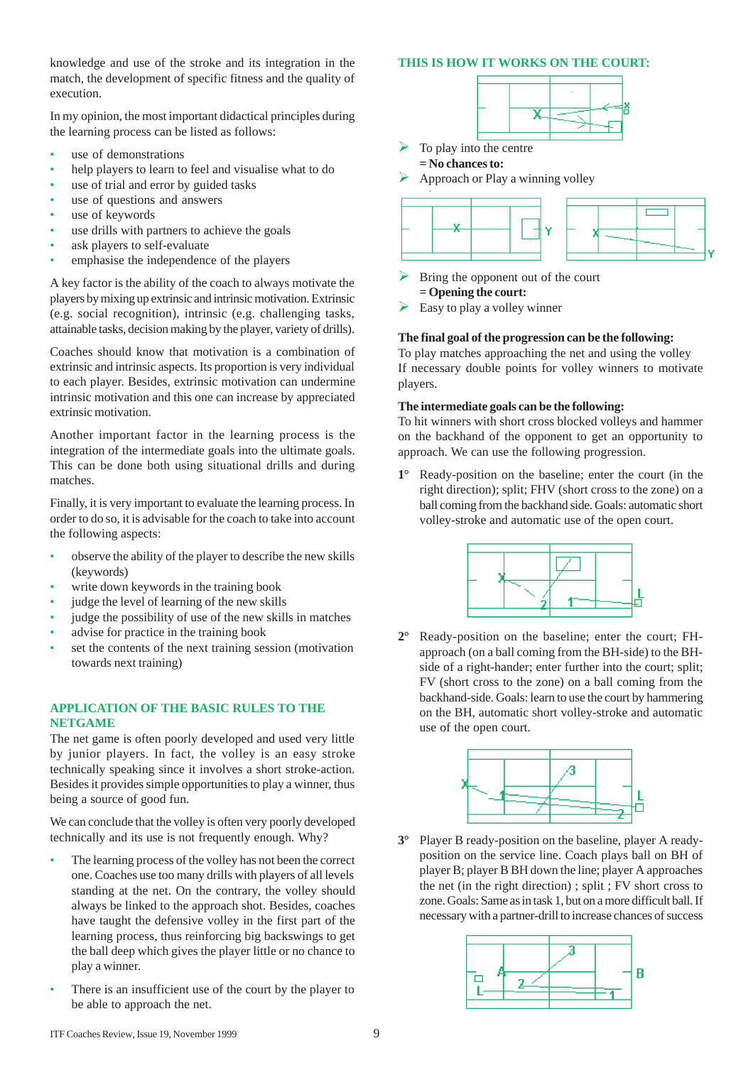knowledge and use of the stroke and its integration in the match, the development of specific fitness and the quality of execution.

In my opinion, the most important didactical principles during the learning process can be listed as follows:

- use of demonstrations
- help players to learn to feel and visualise what to do
- use of trial and error by guided tasks
- use of questions and answers
- use of keywords
- use drills with partners to achieve the goals
- ask players to self-evaluate
- emphasise the independence of the players

A key factor is the ability of the coach to always motivate the players by mixing up extrinsic and intrinsic motivation. Extrinsic (e.g. social recognition), intrinsic (e.g. challenging tasks, attainable tasks, decision making by the player, variety of drills).

Coaches should know that motivation is a combination of extrinsic and intrinsic aspects. Its proportion is very individual to each player. Besides, extrinsic motivation can undermine intrinsic motivation and this one can increase by appreciated extrinsic motivation.

Another important factor in the learning process is the integration of the intermediate goals into the ultimate goals. This can be done both using situational drills and during matches.

Finally, it is very important to evaluate the learning process. In order to do so, it is advisable for the coach to take into account the following aspects:

- observe the ability of the player to describe the new skills (keywords)
- write down keywords in the training book
- judge the level of learning of the new skills
- iudge the possibility of use of the new skills in matches
- advise for practice in the training book
- set the contents of the next training session (motivation towards next training)

### **APPLICATION OF THE BASIC RULES TO THE NETGAME**

The net game is often poorly developed and used very little by junior players. In fact, the volley is an easy stroke technically speaking since it involves a short stroke-action. Besides it provides simple opportunities to play a winner, thus being a source of good fun.

We can conclude that the volley is often very poorly developed technically and its use is not frequently enough. Why?

- The learning process of the volley has not been the correct one. Coaches use too many drills with players of all levels standing at the net. On the contrary, the volley should always be linked to the approach shot. Besides, coaches have taught the defensive volley in the first part of the learning process, thus reinforcing big backswings to get the ball deep which gives the player little or no chance to play a winner.
- There is an insufficient use of the court by the player to be able to approach the net.

### **THIS IS HOW IT WORKS ON THE COURT:**



To play into the centre







Bring the opponent out of the court **= Opening the court:**

Easy to play a volley winner

### **The final goal of the progression can be the following:**

To play matches approaching the net and using the volley If necessary double points for volley winners to motivate players.

### **The intermediate goals can be the following:**

To hit winners with short cross blocked volleys and hammer on the backhand of the opponent to get an opportunity to approach. We can use the following progression.

**1°** Ready-position on the baseline; enter the court (in the right direction); split; FHV (short cross to the zone) on a ball coming from the backhand side. Goals: automatic short volley-stroke and automatic use of the open court.



**2°** Ready-position on the baseline; enter the court; FHapproach (on a ball coming from the BH-side) to the BHside of a right-hander; enter further into the court; split; FV (short cross to the zone) on a ball coming from the backhand-side. Goals: learn to use the court by hammering on the BH, automatic short volley-stroke and automatic use of the open court.



**3°** Player B ready-position on the baseline, player A readyposition on the service line. Coach plays ball on BH of player B; player B BH down the line; player A approaches the net (in the right direction) ; split ; FV short cross to zone. Goals: Same as in task 1, but on a more difficult ball. If necessary with a partner-drill to increase chances of success

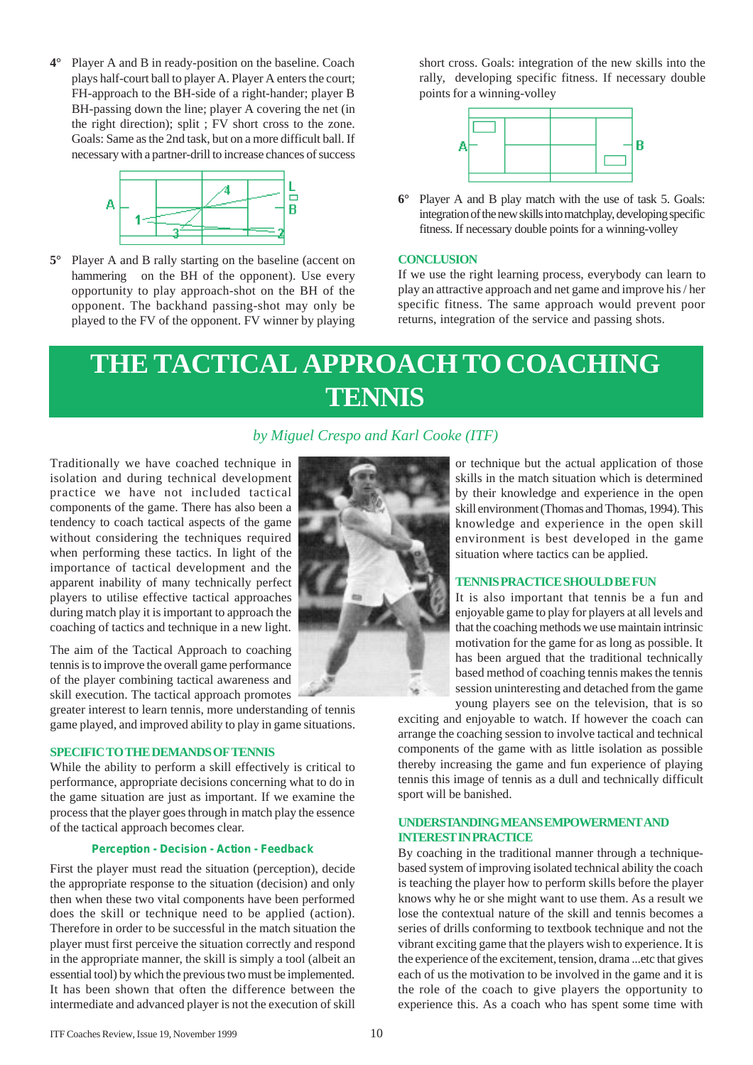**4°** Player A and B in ready-position on the baseline. Coach plays half-court ball to player A. Player A enters the court; FH-approach to the BH-side of a right-hander; player B BH-passing down the line; player A covering the net (in the right direction); split ; FV short cross to the zone. Goals: Same as the 2nd task, but on a more difficult ball. If necessary with a partner-drill to increase chances of success



**5°** Player A and B rally starting on the baseline (accent on hammering on the BH of the opponent). Use every opportunity to play approach-shot on the BH of the opponent. The backhand passing-shot may only be played to the FV of the opponent. FV winner by playing short cross. Goals: integration of the new skills into the rally, developing specific fitness. If necessary double points for a winning-volley



**6°** Player A and B play match with the use of task 5. Goals: integration of the new skills into matchplay, developing specific fitness. If necessary double points for a winning-volley

### **CONCLUSION**

If we use the right learning process, everybody can learn to play an attractive approach and net game and improve his / her specific fitness. The same approach would prevent poor returns, integration of the service and passing shots.

## **THE TACTICAL APPROACH TO COACHING TENNIS**

### *by Miguel Crespo and Karl Cooke (ITF)*

Traditionally we have coached technique in isolation and during technical development practice we have not included tactical components of the game. There has also been a tendency to coach tactical aspects of the game without considering the techniques required when performing these tactics. In light of the importance of tactical development and the apparent inability of many technically perfect players to utilise effective tactical approaches during match play it is important to approach the coaching of tactics and technique in a new light.

The aim of the Tactical Approach to coaching tennis is to improve the overall game performance of the player combining tactical awareness and skill execution. The tactical approach promotes

greater interest to learn tennis, more understanding of tennis game played, and improved ability to play in game situations.

### **SPECIFIC TO THE DEMANDS OF TENNIS**

While the ability to perform a skill effectively is critical to performance, appropriate decisions concerning what to do in the game situation are just as important. If we examine the process that the player goes through in match play the essence of the tactical approach becomes clear.

### **Perception - Decision - Action - Feedback**

First the player must read the situation (perception), decide the appropriate response to the situation (decision) and only then when these two vital components have been performed does the skill or technique need to be applied (action). Therefore in order to be successful in the match situation the player must first perceive the situation correctly and respond in the appropriate manner, the skill is simply a tool (albeit an essential tool) by which the previous two must be implemented. It has been shown that often the difference between the intermediate and advanced player is not the execution of skill



or technique but the actual application of those skills in the match situation which is determined by their knowledge and experience in the open skill environment (Thomas and Thomas, 1994). This knowledge and experience in the open skill environment is best developed in the game situation where tactics can be applied.

#### **TENNIS PRACTICE SHOULD BE FUN**

It is also important that tennis be a fun and enjoyable game to play for players at all levels and that the coaching methods we use maintain intrinsic motivation for the game for as long as possible. It has been argued that the traditional technically based method of coaching tennis makes the tennis session uninteresting and detached from the game young players see on the television, that is so

exciting and enjoyable to watch. If however the coach can arrange the coaching session to involve tactical and technical components of the game with as little isolation as possible thereby increasing the game and fun experience of playing tennis this image of tennis as a dull and technically difficult sport will be banished.

### **UNDERSTANDING MEANS EMPOWERMENT AND INTEREST IN PRACTICE**

By coaching in the traditional manner through a techniquebased system of improving isolated technical ability the coach is teaching the player how to perform skills before the player knows why he or she might want to use them. As a result we lose the contextual nature of the skill and tennis becomes a series of drills conforming to textbook technique and not the vibrant exciting game that the players wish to experience. It is the experience of the excitement, tension, drama ...etc that gives each of us the motivation to be involved in the game and it is the role of the coach to give players the opportunity to experience this. As a coach who has spent some time with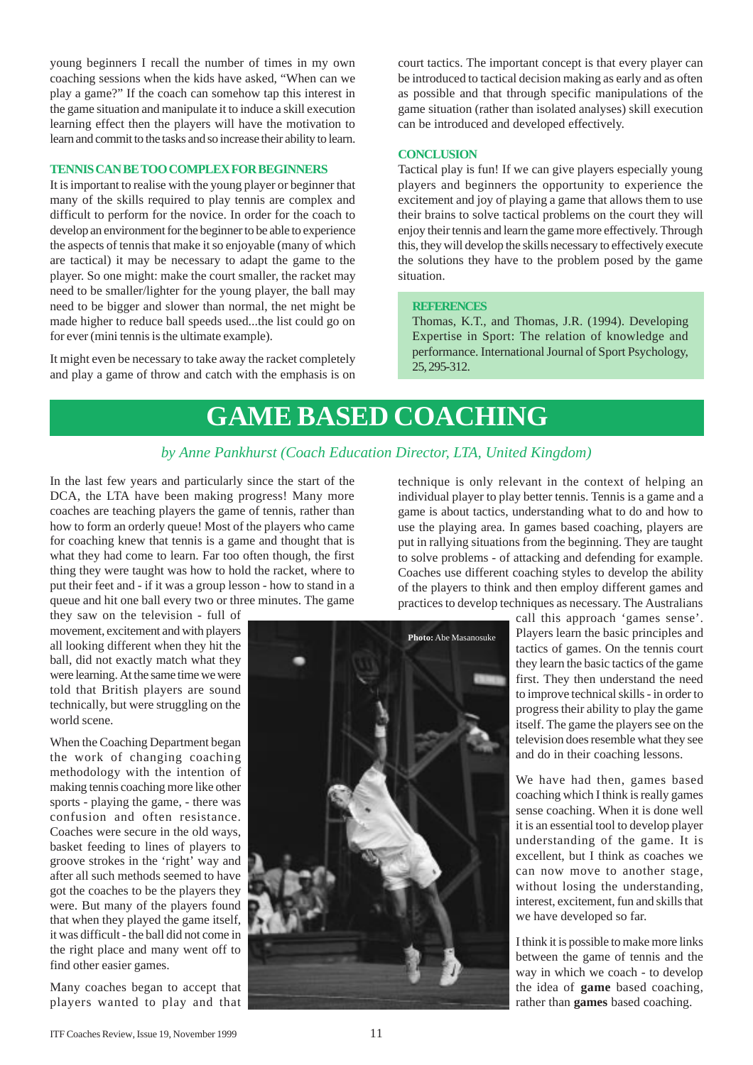young beginners I recall the number of times in my own coaching sessions when the kids have asked, "When can we play a game?" If the coach can somehow tap this interest in the game situation and manipulate it to induce a skill execution learning effect then the players will have the motivation to learn and commit to the tasks and so increase their ability to learn.

#### **TENNIS CAN BE TOO COMPLEX FOR BEGINNERS**

It is important to realise with the young player or beginner that many of the skills required to play tennis are complex and difficult to perform for the novice. In order for the coach to develop an environment for the beginner to be able to experience the aspects of tennis that make it so enjoyable (many of which are tactical) it may be necessary to adapt the game to the player. So one might: make the court smaller, the racket may need to be smaller/lighter for the young player, the ball may need to be bigger and slower than normal, the net might be made higher to reduce ball speeds used...the list could go on for ever (mini tennis is the ultimate example).

It might even be necessary to take away the racket completely and play a game of throw and catch with the emphasis is on court tactics. The important concept is that every player can be introduced to tactical decision making as early and as often as possible and that through specific manipulations of the game situation (rather than isolated analyses) skill execution can be introduced and developed effectively.

### **CONCLUSION**

Tactical play is fun! If we can give players especially young players and beginners the opportunity to experience the excitement and joy of playing a game that allows them to use their brains to solve tactical problems on the court they will enjoy their tennis and learn the game more effectively. Through this, they will develop the skills necessary to effectively execute the solutions they have to the problem posed by the game situation.

#### **REFERENCES**

Thomas, K.T., and Thomas, J.R. (1994). Developing Expertise in Sport: The relation of knowledge and performance. International Journal of Sport Psychology, 25, 295-312.

## **GAME BASED COACHING**

### *by Anne Pankhurst (Coach Education Director, LTA, United Kingdom)*

In the last few years and particularly since the start of the DCA, the LTA have been making progress! Many more coaches are teaching players the game of tennis, rather than how to form an orderly queue! Most of the players who came for coaching knew that tennis is a game and thought that is what they had come to learn. Far too often though, the first thing they were taught was how to hold the racket, where to put their feet and - if it was a group lesson - how to stand in a queue and hit one ball every two or three minutes. The game

they saw on the television - full of movement, excitement and with players all looking different when they hit the ball, did not exactly match what they were learning. At the same time we were told that British players are sound technically, but were struggling on the world scene.

When the Coaching Department began the work of changing coaching methodology with the intention of making tennis coaching more like other sports - playing the game, - there was confusion and often resistance. Coaches were secure in the old ways, basket feeding to lines of players to groove strokes in the 'right' way and after all such methods seemed to have got the coaches to be the players they were. But many of the players found that when they played the game itself, it was difficult - the ball did not come in the right place and many went off to find other easier games.

Many coaches began to accept that players wanted to play and that technique is only relevant in the context of helping an individual player to play better tennis. Tennis is a game and a game is about tactics, understanding what to do and how to use the playing area. In games based coaching, players are put in rallying situations from the beginning. They are taught to solve problems - of attacking and defending for example. Coaches use different coaching styles to develop the ability of the players to think and then employ different games and practices to develop techniques as necessary. The Australians



call this approach 'games sense'. Players learn the basic principles and tactics of games. On the tennis court they learn the basic tactics of the game first. They then understand the need to improve technical skills - in order to progress their ability to play the game itself. The game the players see on the television does resemble what they see and do in their coaching lessons.

We have had then, games based coaching which I think is really games sense coaching. When it is done well it is an essential tool to develop player understanding of the game. It is excellent, but I think as coaches we can now move to another stage, without losing the understanding, interest, excitement, fun and skills that we have developed so far.

I think it is possible to make more links between the game of tennis and the way in which we coach - to develop the idea of **game** based coaching, rather than **games** based coaching.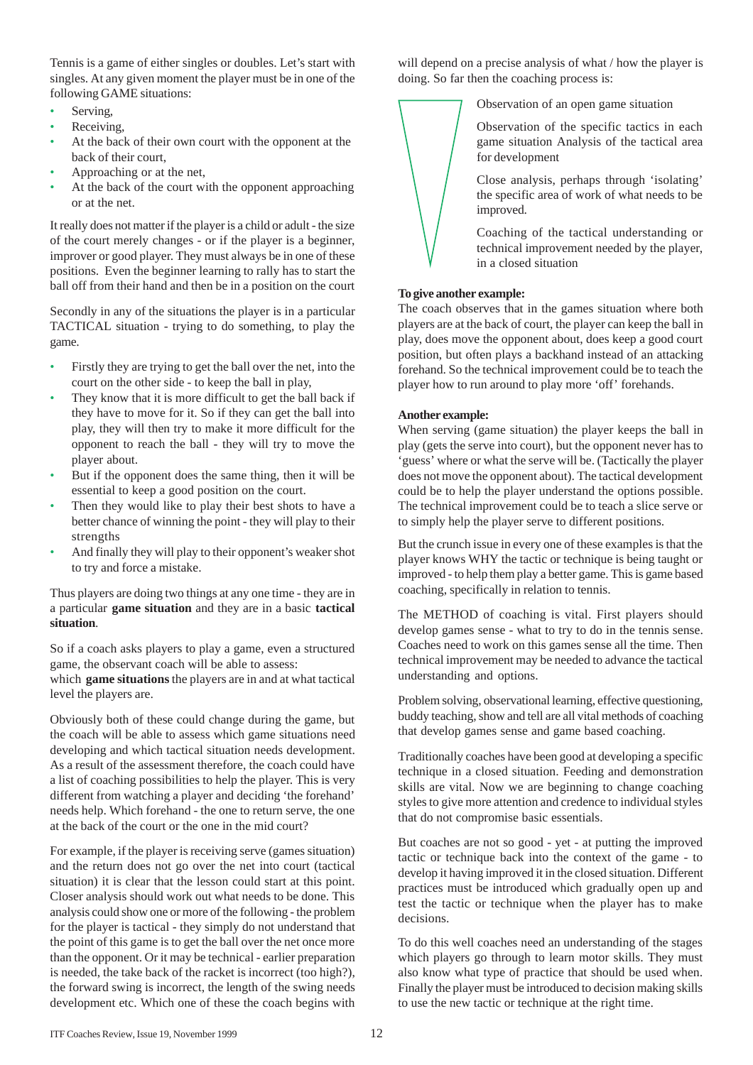Tennis is a game of either singles or doubles. Let's start with singles. At any given moment the player must be in one of the following GAME situations:

- Serving,
- Receiving,
- At the back of their own court with the opponent at the back of their court,
- Approaching or at the net,
- At the back of the court with the opponent approaching or at the net.

It really does not matter if the player is a child or adult - the size of the court merely changes - or if the player is a beginner, improver or good player. They must always be in one of these positions. Even the beginner learning to rally has to start the ball off from their hand and then be in a position on the court

Secondly in any of the situations the player is in a particular TACTICAL situation - trying to do something, to play the game.

- Firstly they are trying to get the ball over the net, into the court on the other side - to keep the ball in play,
- They know that it is more difficult to get the ball back if they have to move for it. So if they can get the ball into play, they will then try to make it more difficult for the opponent to reach the ball - they will try to move the player about.
- But if the opponent does the same thing, then it will be essential to keep a good position on the court.
- Then they would like to play their best shots to have a better chance of winning the point - they will play to their strengths
- And finally they will play to their opponent's weaker shot to try and force a mistake.

Thus players are doing two things at any one time - they are in a particular **game situation** and they are in a basic **tactical situation**.

So if a coach asks players to play a game, even a structured game, the observant coach will be able to assess: which **game situations** the players are in and at what tactical level the players are.

Obviously both of these could change during the game, but the coach will be able to assess which game situations need developing and which tactical situation needs development. As a result of the assessment therefore, the coach could have a list of coaching possibilities to help the player. This is very different from watching a player and deciding 'the forehand' needs help. Which forehand - the one to return serve, the one at the back of the court or the one in the mid court?

For example, if the player is receiving serve (games situation) and the return does not go over the net into court (tactical situation) it is clear that the lesson could start at this point. Closer analysis should work out what needs to be done. This analysis could show one or more of the following - the problem for the player is tactical - they simply do not understand that the point of this game is to get the ball over the net once more than the opponent. Or it may be technical - earlier preparation is needed, the take back of the racket is incorrect (too high?), the forward swing is incorrect, the length of the swing needs development etc. Which one of these the coach begins with

will depend on a precise analysis of what / how the player is doing. So far then the coaching process is:

Observation of an open game situation

Observation of the specific tactics in each game situation Analysis of the tactical area for development

Close analysis, perhaps through 'isolating' the specific area of work of what needs to be improved.

Coaching of the tactical understanding or technical improvement needed by the player, in a closed situation

### **To give another example:**

The coach observes that in the games situation where both players are at the back of court, the player can keep the ball in play, does move the opponent about, does keep a good court position, but often plays a backhand instead of an attacking forehand. So the technical improvement could be to teach the player how to run around to play more 'off' forehands.

### **Another example:**

When serving (game situation) the player keeps the ball in play (gets the serve into court), but the opponent never has to 'guess' where or what the serve will be. (Tactically the player does not move the opponent about). The tactical development could be to help the player understand the options possible. The technical improvement could be to teach a slice serve or to simply help the player serve to different positions.

But the crunch issue in every one of these examples is that the player knows WHY the tactic or technique is being taught or improved - to help them play a better game. This is game based coaching, specifically in relation to tennis.

The METHOD of coaching is vital. First players should develop games sense - what to try to do in the tennis sense. Coaches need to work on this games sense all the time. Then technical improvement may be needed to advance the tactical understanding and options.

Problem solving, observational learning, effective questioning, buddy teaching, show and tell are all vital methods of coaching that develop games sense and game based coaching.

Traditionally coaches have been good at developing a specific technique in a closed situation. Feeding and demonstration skills are vital. Now we are beginning to change coaching styles to give more attention and credence to individual styles that do not compromise basic essentials.

But coaches are not so good - yet - at putting the improved tactic or technique back into the context of the game - to develop it having improved it in the closed situation. Different practices must be introduced which gradually open up and test the tactic or technique when the player has to make decisions.

To do this well coaches need an understanding of the stages which players go through to learn motor skills. They must also know what type of practice that should be used when. Finally the player must be introduced to decision making skills to use the new tactic or technique at the right time.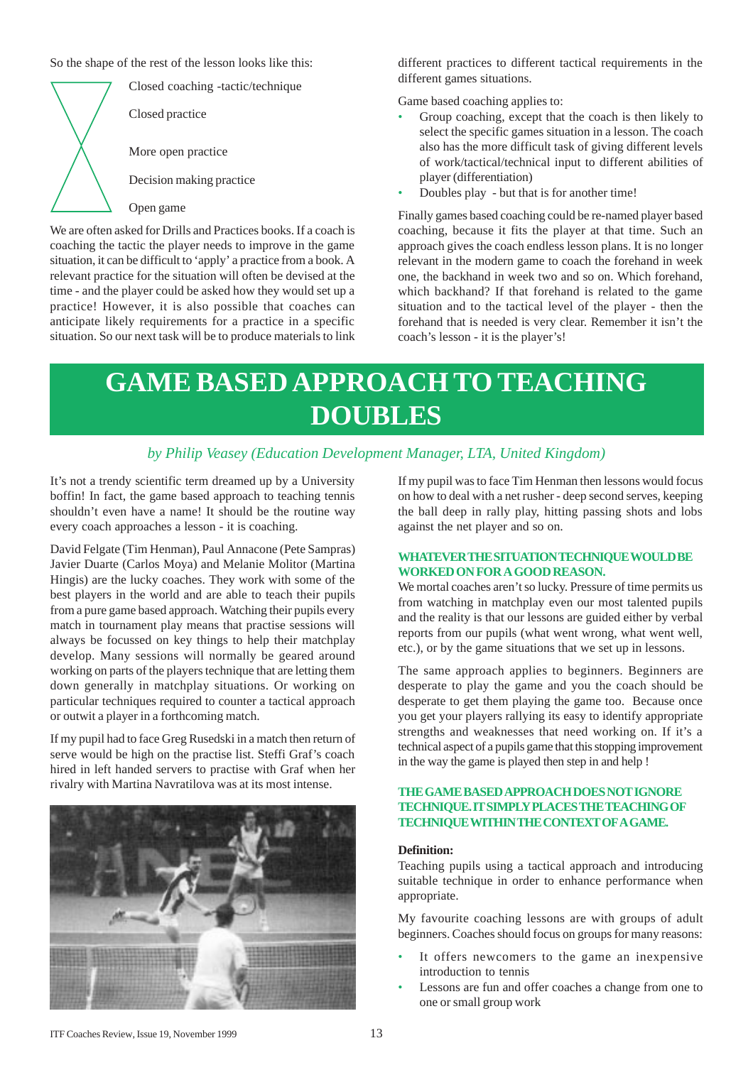So the shape of the rest of the lesson looks like this:



coaching the tactic the player needs to improve in the game situation, it can be difficult to 'apply' a practice from a book. A relevant practice for the situation will often be devised at the time - and the player could be asked how they would set up a practice! However, it is also possible that coaches can anticipate likely requirements for a practice in a specific situation. So our next task will be to produce materials to link different practices to different tactical requirements in the different games situations.

Game based coaching applies to:

- Group coaching, except that the coach is then likely to select the specific games situation in a lesson. The coach also has the more difficult task of giving different levels of work/tactical/technical input to different abilities of player (differentiation)
- Doubles play but that is for another time!

Finally games based coaching could be re-named player based coaching, because it fits the player at that time. Such an approach gives the coach endless lesson plans. It is no longer relevant in the modern game to coach the forehand in week one, the backhand in week two and so on. Which forehand, which backhand? If that forehand is related to the game situation and to the tactical level of the player - then the forehand that is needed is very clear. Remember it isn't the coach's lesson - it is the player's!

## **GAME BASED APPROACH TO TEACHING DOUBLES**

### *by Philip Veasey (Education Development Manager, LTA, United Kingdom)*

It's not a trendy scientific term dreamed up by a University boffin! In fact, the game based approach to teaching tennis shouldn't even have a name! It should be the routine way every coach approaches a lesson - it is coaching.

David Felgate (Tim Henman), Paul Annacone (Pete Sampras) Javier Duarte (Carlos Moya) and Melanie Molitor (Martina Hingis) are the lucky coaches. They work with some of the best players in the world and are able to teach their pupils from a pure game based approach. Watching their pupils every match in tournament play means that practise sessions will always be focussed on key things to help their matchplay develop. Many sessions will normally be geared around working on parts of the players technique that are letting them down generally in matchplay situations. Or working on particular techniques required to counter a tactical approach or outwit a player in a forthcoming match.

If my pupil had to face Greg Rusedski in a match then return of serve would be high on the practise list. Steffi Graf's coach hired in left handed servers to practise with Graf when her rivalry with Martina Navratilova was at its most intense.



If my pupil was to face Tim Henman then lessons would focus on how to deal with a net rusher - deep second serves, keeping the ball deep in rally play, hitting passing shots and lobs against the net player and so on.

### **WHATEVER THE SITUATION TECHNIQUE WOULD BE WORKED ON FOR A GOOD REASON.**

We mortal coaches aren't so lucky. Pressure of time permits us from watching in matchplay even our most talented pupils and the reality is that our lessons are guided either by verbal reports from our pupils (what went wrong, what went well, etc.), or by the game situations that we set up in lessons.

The same approach applies to beginners. Beginners are desperate to play the game and you the coach should be desperate to get them playing the game too. Because once you get your players rallying its easy to identify appropriate strengths and weaknesses that need working on. If it's a technical aspect of a pupils game that this stopping improvement in the way the game is played then step in and help !

### **THE GAME BASED APPROACH DOES NOT IGNORE TECHNIQUE. IT SIMPLY PLACES THE TEACHING OF TECHNIQUE WITHIN THE CONTEXT OF A GAME.**

### **Definition:**

Teaching pupils using a tactical approach and introducing suitable technique in order to enhance performance when appropriate.

My favourite coaching lessons are with groups of adult beginners. Coaches should focus on groups for many reasons:

- It offers newcomers to the game an inexpensive introduction to tennis
- Lessons are fun and offer coaches a change from one to one or small group work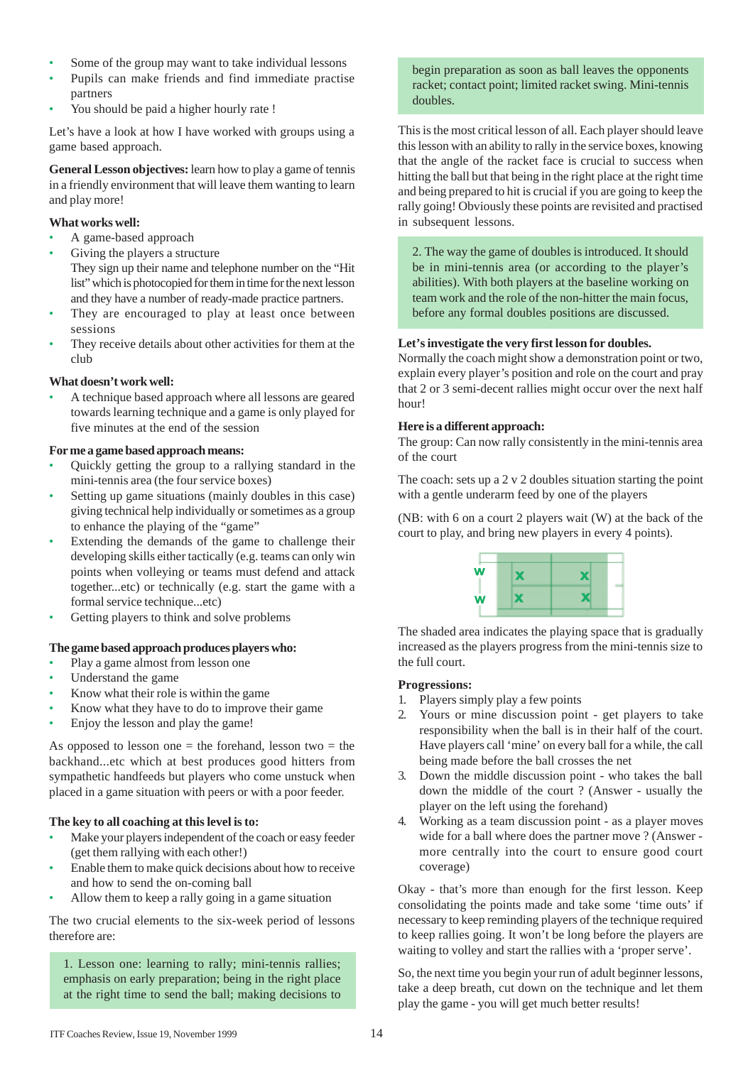- Some of the group may want to take individual lessons
- Pupils can make friends and find immediate practise partners
- You should be paid a higher hourly rate !

Let's have a look at how I have worked with groups using a game based approach.

**General Lesson objectives:** learn how to play a game of tennis in a friendly environment that will leave them wanting to learn and play more!

### **What works well:**

- A game-based approach
- Giving the players a structure

They sign up their name and telephone number on the "Hit list" which is photocopied for them in time for the next lesson and they have a number of ready-made practice partners.

- They are encouraged to play at least once between sessions
- They receive details about other activities for them at the club

### **What doesn't work well:**

• A technique based approach where all lessons are geared towards learning technique and a game is only played for five minutes at the end of the session

### **For me a game based approach means:**

- Quickly getting the group to a rallying standard in the mini-tennis area (the four service boxes)
- Setting up game situations (mainly doubles in this case) giving technical help individually or sometimes as a group to enhance the playing of the "game"
- Extending the demands of the game to challenge their developing skills either tactically (e.g. teams can only win points when volleying or teams must defend and attack together...etc) or technically (e.g. start the game with a formal service technique...etc)
- Getting players to think and solve problems

### **The game based approach produces players who:**

- Play a game almost from lesson one
- Understand the game
- Know what their role is within the game
- Know what they have to do to improve their game
- Enjoy the lesson and play the game!

As opposed to lesson one  $=$  the forehand, lesson two  $=$  the backhand...etc which at best produces good hitters from sympathetic handfeeds but players who come unstuck when placed in a game situation with peers or with a poor feeder.

### **The key to all coaching at this level is to:**

- Make your players independent of the coach or easy feeder (get them rallying with each other!)
- Enable them to make quick decisions about how to receive and how to send the on-coming ball
- Allow them to keep a rally going in a game situation

The two crucial elements to the six-week period of lessons therefore are:

1. Lesson one: learning to rally; mini-tennis rallies; emphasis on early preparation; being in the right place at the right time to send the ball; making decisions to

begin preparation as soon as ball leaves the opponents racket; contact point; limited racket swing. Mini-tennis doubles.

This is the most critical lesson of all. Each player should leave this lesson with an ability to rally in the service boxes, knowing that the angle of the racket face is crucial to success when hitting the ball but that being in the right place at the right time and being prepared to hit is crucial if you are going to keep the rally going! Obviously these points are revisited and practised in subsequent lessons.

2. The way the game of doubles is introduced. It should be in mini-tennis area (or according to the player's abilities). With both players at the baseline working on team work and the role of the non-hitter the main focus, before any formal doubles positions are discussed.

### **Let's investigate the very first lesson for doubles.**

Normally the coach might show a demonstration point or two, explain every player's position and role on the court and pray that 2 or 3 semi-decent rallies might occur over the next half hour!

### **Here is a different approach:**

The group: Can now rally consistently in the mini-tennis area of the court

The coach: sets up a 2 v 2 doubles situation starting the point with a gentle underarm feed by one of the players

(NB: with 6 on a court 2 players wait (W) at the back of the court to play, and bring new players in every 4 points).



The shaded area indicates the playing space that is gradually increased as the players progress from the mini-tennis size to the full court.

### **Progressions:**

- 1. Players simply play a few points
- 2. Yours or mine discussion point get players to take responsibility when the ball is in their half of the court. Have players call 'mine' on every ball for a while, the call being made before the ball crosses the net
- 3. Down the middle discussion point who takes the ball down the middle of the court ? (Answer - usually the player on the left using the forehand)
- 4. Working as a team discussion point as a player moves wide for a ball where does the partner move ? (Answer more centrally into the court to ensure good court coverage)

Okay - that's more than enough for the first lesson. Keep consolidating the points made and take some 'time outs' if necessary to keep reminding players of the technique required to keep rallies going. It won't be long before the players are waiting to volley and start the rallies with a 'proper serve'.

So, the next time you begin your run of adult beginner lessons, take a deep breath, cut down on the technique and let them play the game - you will get much better results!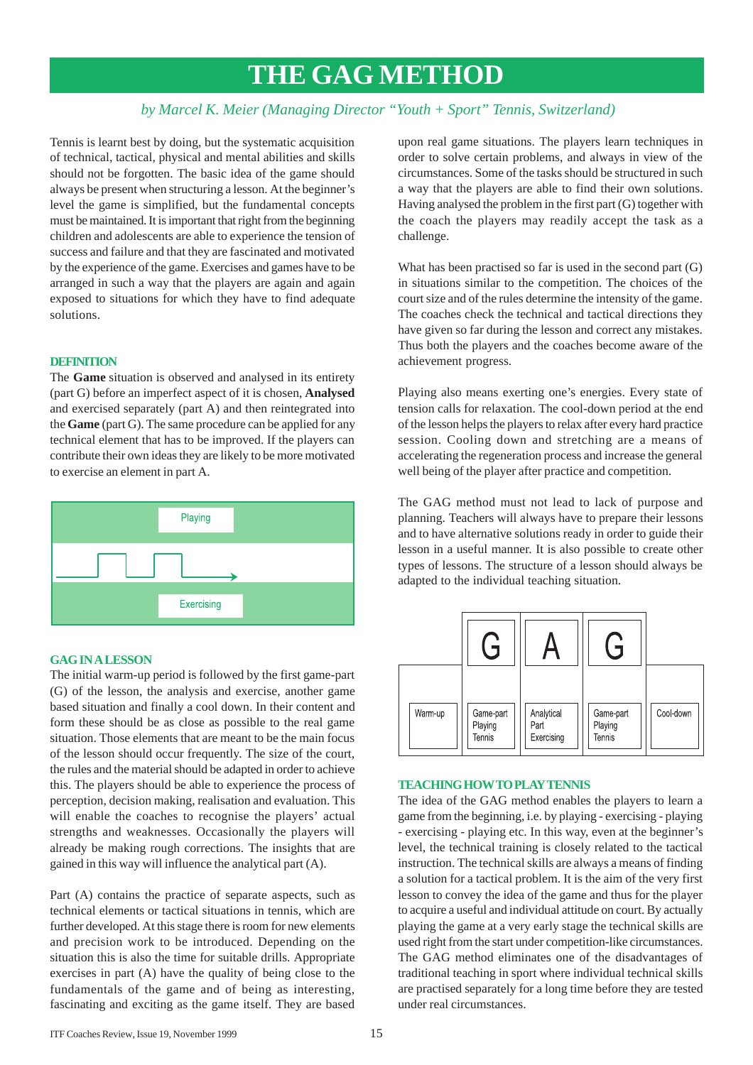### **THE GAG METHOD**

### *by Marcel K. Meier (Managing Director "Youth + Sport" Tennis, Switzerland)*

Tennis is learnt best by doing, but the systematic acquisition of technical, tactical, physical and mental abilities and skills should not be forgotten. The basic idea of the game should always be present when structuring a lesson. At the beginner's level the game is simplified, but the fundamental concepts must be maintained. It is important that right from the beginning children and adolescents are able to experience the tension of success and failure and that they are fascinated and motivated by the experience of the game. Exercises and games have to be arranged in such a way that the players are again and again exposed to situations for which they have to find adequate solutions.

### **DEFINITION**

The **Game** situation is observed and analysed in its entirety (part G) before an imperfect aspect of it is chosen, **Analysed** and exercised separately (part A) and then reintegrated into the **Game** (part G). The same procedure can be applied for any technical element that has to be improved. If the players can contribute their own ideas they are likely to be more motivated to exercise an element in part A.



### **GAG IN A LESSON**

The initial warm-up period is followed by the first game-part (G) of the lesson, the analysis and exercise, another game based situation and finally a cool down. In their content and form these should be as close as possible to the real game situation. Those elements that are meant to be the main focus of the lesson should occur frequently. The size of the court, the rules and the material should be adapted in order to achieve this. The players should be able to experience the process of perception, decision making, realisation and evaluation. This will enable the coaches to recognise the players' actual strengths and weaknesses. Occasionally the players will already be making rough corrections. The insights that are gained in this way will influence the analytical part (A).

Part (A) contains the practice of separate aspects, such as technical elements or tactical situations in tennis, which are further developed. At this stage there is room for new elements and precision work to be introduced. Depending on the situation this is also the time for suitable drills. Appropriate exercises in part (A) have the quality of being close to the fundamentals of the game and of being as interesting, fascinating and exciting as the game itself. They are based upon real game situations. The players learn techniques in order to solve certain problems, and always in view of the circumstances. Some of the tasks should be structured in such a way that the players are able to find their own solutions. Having analysed the problem in the first part (G) together with the coach the players may readily accept the task as a challenge.

What has been practised so far is used in the second part (G) in situations similar to the competition. The choices of the court size and of the rules determine the intensity of the game. The coaches check the technical and tactical directions they have given so far during the lesson and correct any mistakes. Thus both the players and the coaches become aware of the achievement progress.

Playing also means exerting one's energies. Every state of tension calls for relaxation. The cool-down period at the end of the lesson helps the players to relax after every hard practice session. Cooling down and stretching are a means of accelerating the regeneration process and increase the general well being of the player after practice and competition.

The GAG method must not lead to lack of purpose and planning. Teachers will always have to prepare their lessons and to have alternative solutions ready in order to guide their lesson in a useful manner. It is also possible to create other types of lessons. The structure of a lesson should always be adapted to the individual teaching situation.

|         | Ġ                                     |                                  | Ġ                              |           |
|---------|---------------------------------------|----------------------------------|--------------------------------|-----------|
| Warm-up | Game-part<br>Playing<br><b>Tennis</b> | Analytical<br>Part<br>Exercising | Game-part<br>Playing<br>Tennis | Cool-down |

### **TEACHING HOW TO PLAY TENNIS**

The idea of the GAG method enables the players to learn a game from the beginning, i.e. by playing - exercising - playing - exercising - playing etc. In this way, even at the beginner's level, the technical training is closely related to the tactical instruction. The technical skills are always a means of finding a solution for a tactical problem. It is the aim of the very first lesson to convey the idea of the game and thus for the player to acquire a useful and individual attitude on court. By actually playing the game at a very early stage the technical skills are used right from the start under competition-like circumstances. The GAG method eliminates one of the disadvantages of traditional teaching in sport where individual technical skills are practised separately for a long time before they are tested under real circumstances.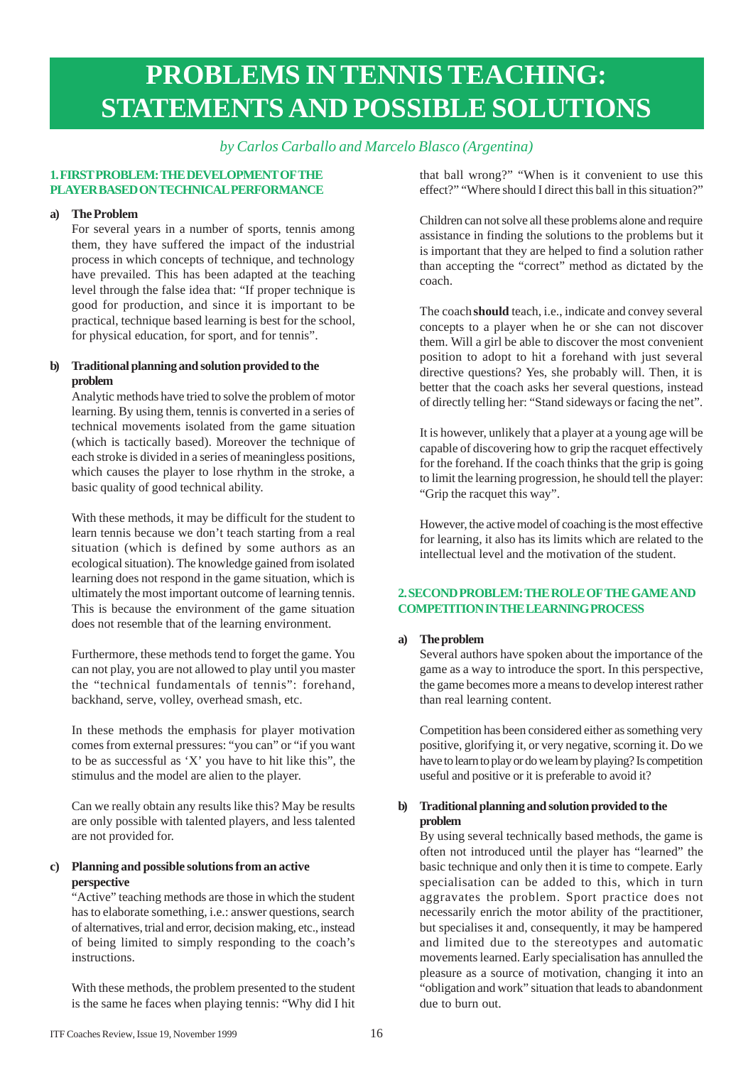## **PROBLEMS IN TENNIS TEACHING: STATEMENTS AND POSSIBLE SOLUTIONS**

### *by Carlos Carballo and Marcelo Blasco (Argentina)*

### **1. FIRST PROBLEM: THE DEVELOPMENT OF THE PLAYER BASED ON TECHNICAL PERFORMANCE**

### **a) The Problem**

For several years in a number of sports, tennis among them, they have suffered the impact of the industrial process in which concepts of technique, and technology have prevailed. This has been adapted at the teaching level through the false idea that: "If proper technique is good for production, and since it is important to be practical, technique based learning is best for the school, for physical education, for sport, and for tennis".

### **b) Traditional planning and solution provided to the problem**

Analytic methods have tried to solve the problem of motor learning. By using them, tennis is converted in a series of technical movements isolated from the game situation (which is tactically based). Moreover the technique of each stroke is divided in a series of meaningless positions, which causes the player to lose rhythm in the stroke, a basic quality of good technical ability.

With these methods, it may be difficult for the student to learn tennis because we don't teach starting from a real situation (which is defined by some authors as an ecological situation). The knowledge gained from isolated learning does not respond in the game situation, which is ultimately the most important outcome of learning tennis. This is because the environment of the game situation does not resemble that of the learning environment.

Furthermore, these methods tend to forget the game. You can not play, you are not allowed to play until you master the "technical fundamentals of tennis": forehand, backhand, serve, volley, overhead smash, etc.

In these methods the emphasis for player motivation comes from external pressures: "you can" or "if you want to be as successful as 'X' you have to hit like this", the stimulus and the model are alien to the player.

Can we really obtain any results like this? May be results are only possible with talented players, and less talented are not provided for.

### **c) Planning and possible solutions from an active perspective**

"Active" teaching methods are those in which the student has to elaborate something, i.e.: answer questions, search of alternatives, trial and error, decision making, etc., instead of being limited to simply responding to the coach's instructions.

With these methods, the problem presented to the student is the same he faces when playing tennis: "Why did I hit that ball wrong?" "When is it convenient to use this effect?" "Where should I direct this ball in this situation?"

Children can not solve all these problems alone and require assistance in finding the solutions to the problems but it is important that they are helped to find a solution rather than accepting the "correct" method as dictated by the coach.

The coach **should** teach, i.e., indicate and convey several concepts to a player when he or she can not discover them. Will a girl be able to discover the most convenient position to adopt to hit a forehand with just several directive questions? Yes, she probably will. Then, it is better that the coach asks her several questions, instead of directly telling her: "Stand sideways or facing the net".

It is however, unlikely that a player at a young age will be capable of discovering how to grip the racquet effectively for the forehand. If the coach thinks that the grip is going to limit the learning progression, he should tell the player: "Grip the racquet this way".

However, the active model of coaching is the most effective for learning, it also has its limits which are related to the intellectual level and the motivation of the student.

### **2. SECOND PROBLEM: THE ROLE OF THE GAME AND COMPETITION IN THE LEARNING PROCESS**

### **a) The problem**

Several authors have spoken about the importance of the game as a way to introduce the sport. In this perspective, the game becomes more a means to develop interest rather than real learning content.

Competition has been considered either as something very positive, glorifying it, or very negative, scorning it. Do we have to learn to play or do we learn by playing? Is competition useful and positive or it is preferable to avoid it?

### **b) Traditional planning and solution provided to the problem**

By using several technically based methods, the game is often not introduced until the player has "learned" the basic technique and only then it is time to compete. Early specialisation can be added to this, which in turn aggravates the problem. Sport practice does not necessarily enrich the motor ability of the practitioner, but specialises it and, consequently, it may be hampered and limited due to the stereotypes and automatic movements learned. Early specialisation has annulled the pleasure as a source of motivation, changing it into an "obligation and work" situation that leads to abandonment due to burn out.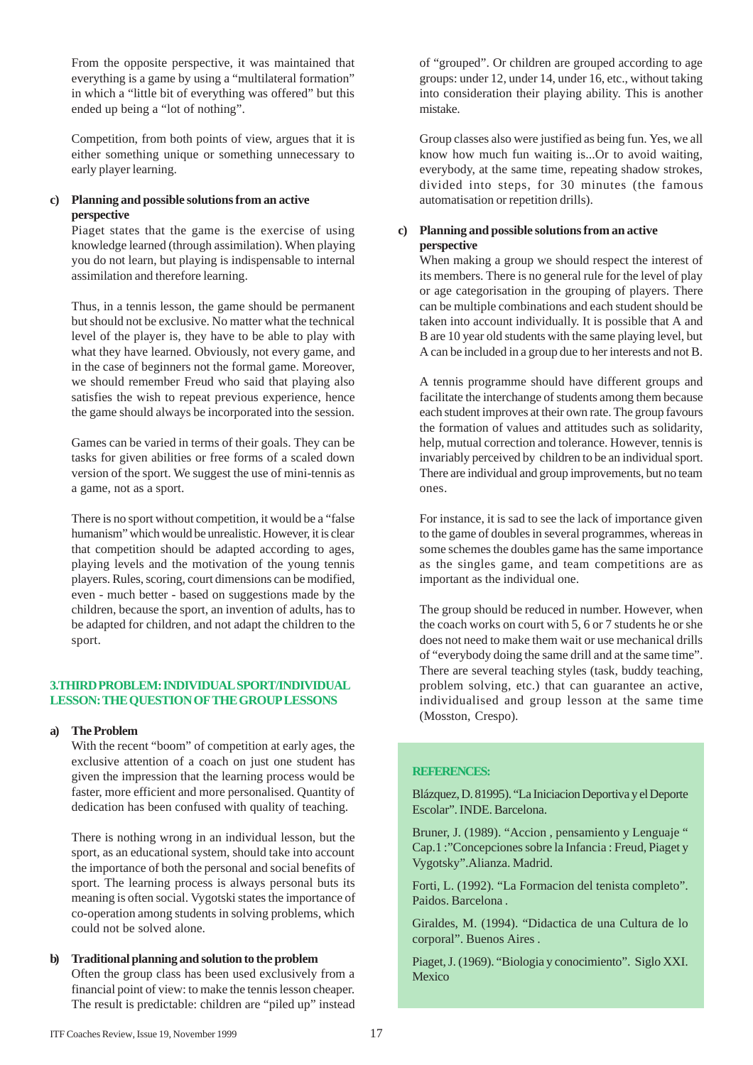From the opposite perspective, it was maintained that everything is a game by using a "multilateral formation" in which a "little bit of everything was offered" but this ended up being a "lot of nothing".

Competition, from both points of view, argues that it is either something unique or something unnecessary to early player learning.

### **c) Planning and possible solutions from an active perspective**

Piaget states that the game is the exercise of using knowledge learned (through assimilation). When playing you do not learn, but playing is indispensable to internal assimilation and therefore learning.

Thus, in a tennis lesson, the game should be permanent but should not be exclusive. No matter what the technical level of the player is, they have to be able to play with what they have learned. Obviously, not every game, and in the case of beginners not the formal game. Moreover, we should remember Freud who said that playing also satisfies the wish to repeat previous experience, hence the game should always be incorporated into the session.

Games can be varied in terms of their goals. They can be tasks for given abilities or free forms of a scaled down version of the sport. We suggest the use of mini-tennis as a game, not as a sport.

There is no sport without competition, it would be a "false humanism" which would be unrealistic. However, it is clear that competition should be adapted according to ages, playing levels and the motivation of the young tennis players. Rules, scoring, court dimensions can be modified, even - much better - based on suggestions made by the children, because the sport, an invention of adults, has to be adapted for children, and not adapt the children to the sport.

### **3.THIRD PROBLEM: INDIVIDUAL SPORT/INDIVIDUAL LESSON: THE QUESTION OF THE GROUP LESSONS**

### **a) The Problem**

With the recent "boom" of competition at early ages, the exclusive attention of a coach on just one student has given the impression that the learning process would be faster, more efficient and more personalised. Quantity of dedication has been confused with quality of teaching.

There is nothing wrong in an individual lesson, but the sport, as an educational system, should take into account the importance of both the personal and social benefits of sport. The learning process is always personal buts its meaning is often social. Vygotski states the importance of co-operation among students in solving problems, which could not be solved alone.

# **b) Traditional planning and solution to the problem**

Often the group class has been used exclusively from a financial point of view: to make the tennis lesson cheaper. The result is predictable: children are "piled up" instead

of "grouped". Or children are grouped according to age groups: under 12, under 14, under 16, etc., without taking into consideration their playing ability. This is another mistake.

Group classes also were justified as being fun. Yes, we all know how much fun waiting is...Or to avoid waiting, everybody, at the same time, repeating shadow strokes, divided into steps, for 30 minutes (the famous automatisation or repetition drills).

### **c) Planning and possible solutions from an active perspective**

When making a group we should respect the interest of its members. There is no general rule for the level of play or age categorisation in the grouping of players. There can be multiple combinations and each student should be taken into account individually. It is possible that A and B are 10 year old students with the same playing level, but A can be included in a group due to her interests and not B.

A tennis programme should have different groups and facilitate the interchange of students among them because each student improves at their own rate. The group favours the formation of values and attitudes such as solidarity, help, mutual correction and tolerance. However, tennis is invariably perceived by children to be an individual sport. There are individual and group improvements, but no team ones.

For instance, it is sad to see the lack of importance given to the game of doubles in several programmes, whereas in some schemes the doubles game has the same importance as the singles game, and team competitions are as important as the individual one.

The group should be reduced in number. However, when the coach works on court with 5, 6 or 7 students he or she does not need to make them wait or use mechanical drills of "everybody doing the same drill and at the same time". There are several teaching styles (task, buddy teaching, problem solving, etc.) that can guarantee an active, individualised and group lesson at the same time (Mosston, Crespo).

### **REFERENCES:**

Blázquez, D. 81995). "La Iniciacion Deportiva y el Deporte Escolar". INDE. Barcelona.

Bruner, J. (1989). "Accion , pensamiento y Lenguaje " Cap.1 :"Concepciones sobre la Infancia : Freud, Piaget y Vygotsky".Alianza. Madrid.

Forti, L. (1992). "La Formacion del tenista completo". Paidos. Barcelona .

Giraldes, M. (1994). "Didactica de una Cultura de lo corporal". Buenos Aires .

Piaget, J. (1969). "Biologia y conocimiento". Siglo XXI. Mexico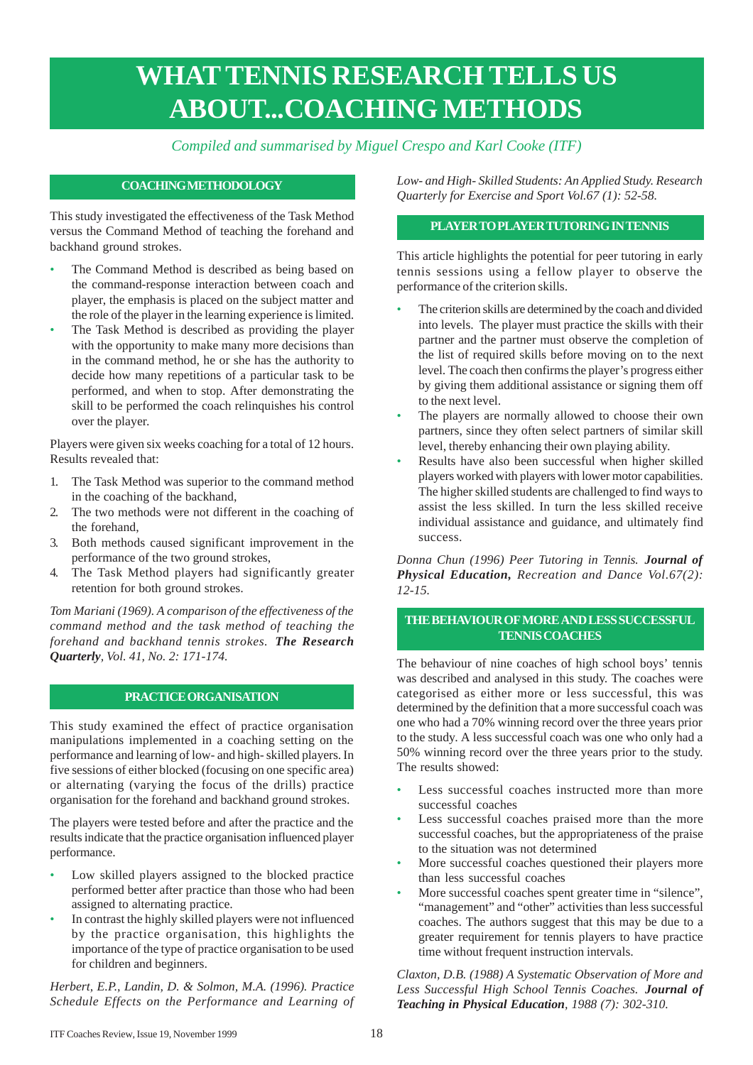## **WHAT TENNIS RESEARCH TELLS US ABOUT...COACHING METHODS**

### *Compiled and summarised by Miguel Crespo and Karl Cooke (ITF)*

### **COACHING METHODOLOGY**

This study investigated the effectiveness of the Task Method versus the Command Method of teaching the forehand and backhand ground strokes.

- The Command Method is described as being based on the command-response interaction between coach and player, the emphasis is placed on the subject matter and the role of the player in the learning experience is limited.
- The Task Method is described as providing the player with the opportunity to make many more decisions than in the command method, he or she has the authority to decide how many repetitions of a particular task to be performed, and when to stop. After demonstrating the skill to be performed the coach relinquishes his control over the player.

Players were given six weeks coaching for a total of 12 hours. Results revealed that:

- 1. The Task Method was superior to the command method in the coaching of the backhand,
- 2. The two methods were not different in the coaching of the forehand,
- 3. Both methods caused significant improvement in the performance of the two ground strokes,
- 4. The Task Method players had significantly greater retention for both ground strokes.

*Tom Mariani (1969). A comparison of the effectiveness of the command method and the task method of teaching the forehand and backhand tennis strokes. The Research Quarterly, Vol. 41, No. 2: 171-174.*

### **PRACTICE ORGANISATION**

This study examined the effect of practice organisation manipulations implemented in a coaching setting on the performance and learning of low- and high- skilled players. In five sessions of either blocked (focusing on one specific area) or alternating (varying the focus of the drills) practice organisation for the forehand and backhand ground strokes.

The players were tested before and after the practice and the results indicate that the practice organisation influenced player performance.

- Low skilled players assigned to the blocked practice performed better after practice than those who had been assigned to alternating practice.
- In contrast the highly skilled players were not influenced by the practice organisation, this highlights the importance of the type of practice organisation to be used for children and beginners.

*Herbert, E.P., Landin, D. & Solmon, M.A. (1996). Practice Schedule Effects on the Performance and Learning of* *Low- and High- Skilled Students: An Applied Study. Research Quarterly for Exercise and Sport Vol.67 (1): 52-58.*

### **PLAYER TO PLAYER TUTORING IN TENNIS**

This article highlights the potential for peer tutoring in early tennis sessions using a fellow player to observe the performance of the criterion skills.

- The criterion skills are determined by the coach and divided into levels. The player must practice the skills with their partner and the partner must observe the completion of the list of required skills before moving on to the next level. The coach then confirms the player's progress either by giving them additional assistance or signing them off to the next level.
- The players are normally allowed to choose their own partners, since they often select partners of similar skill level, thereby enhancing their own playing ability.
- Results have also been successful when higher skilled players worked with players with lower motor capabilities. The higher skilled students are challenged to find ways to assist the less skilled. In turn the less skilled receive individual assistance and guidance, and ultimately find success.

*Donna Chun (1996) Peer Tutoring in Tennis. Journal of Physical Education, Recreation and Dance Vol.67(2): 12-15.*

### **THE BEHAVIOUR OF MORE AND LESS SUCCESSFUL TENNIS COACHES**

The behaviour of nine coaches of high school boys' tennis was described and analysed in this study. The coaches were categorised as either more or less successful, this was determined by the definition that a more successful coach was one who had a 70% winning record over the three years prior to the study. A less successful coach was one who only had a 50% winning record over the three years prior to the study. The results showed:

- Less successful coaches instructed more than more successful coaches
- Less successful coaches praised more than the more successful coaches, but the appropriateness of the praise to the situation was not determined
- More successful coaches questioned their players more than less successful coaches
- More successful coaches spent greater time in "silence", "management" and "other" activities than less successful coaches. The authors suggest that this may be due to a greater requirement for tennis players to have practice time without frequent instruction intervals.

*Claxton, D.B. (1988) A Systematic Observation of More and Less Successful High School Tennis Coaches. Journal of Teaching in Physical Education, 1988 (7): 302-310.*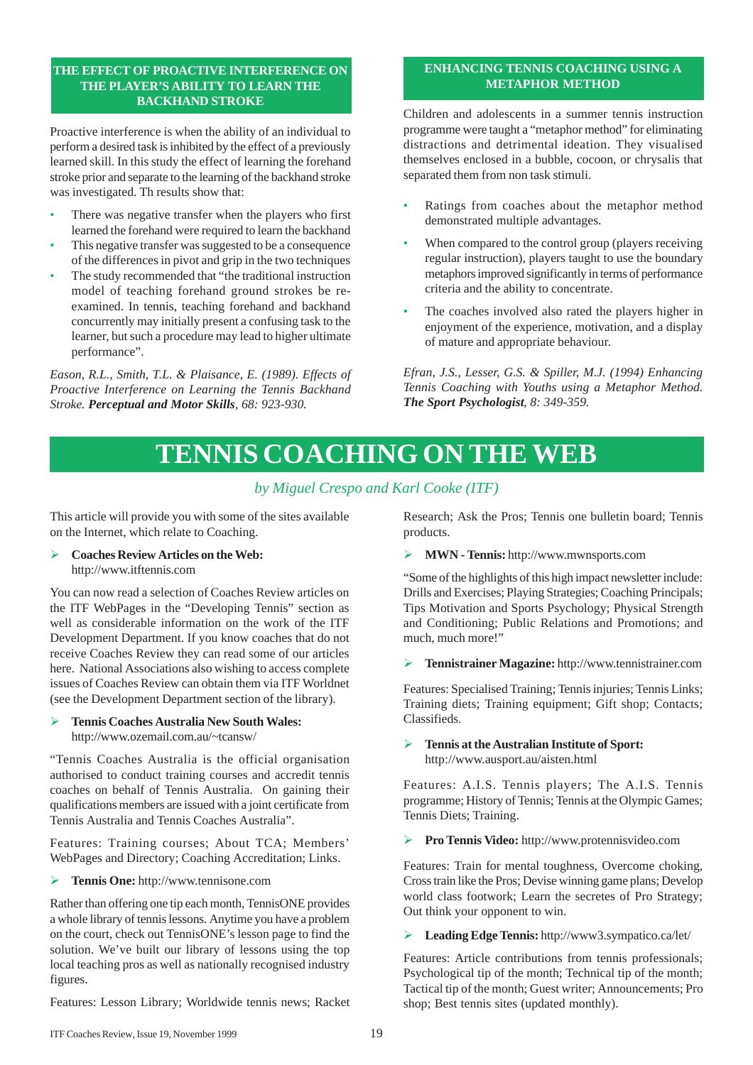### **THE EFFECT OF PROACTIVE INTERFERENCE ON THE PLAYER'S ABILITY TO LEARN THE BACKHAND STROKE**

Proactive interference is when the ability of an individual to perform a desired task is inhibited by the effect of a previously learned skill. In this study the effect of learning the forehand stroke prior and separate to the learning of the backhand stroke was investigated. Th results show that:

- There was negative transfer when the players who first learned the forehand were required to learn the backhand
- This negative transfer was suggested to be a consequence of the differences in pivot and grip in the two techniques
- The study recommended that "the traditional instruction model of teaching forehand ground strokes be reexamined. In tennis, teaching forehand and backhand concurrently may initially present a confusing task to the learner, but such a procedure may lead to higher ultimate performance".

*Eason, R.L., Smith, T.L. & Plaisance, E. (1989). Effects of Proactive Interference on Learning the Tennis Backhand Stroke. Perceptual and Motor Skills, 68: 923-930.*

### **ENHANCING TENNIS COACHING USING A METAPHOR METHOD**

Children and adolescents in a summer tennis instruction programme were taught a "metaphor method" for eliminating distractions and detrimental ideation. They visualised themselves enclosed in a bubble, cocoon, or chrysalis that separated them from non task stimuli.

- Ratings from coaches about the metaphor method demonstrated multiple advantages.
- When compared to the control group (players receiving regular instruction), players taught to use the boundary metaphors improved significantly in terms of performance criteria and the ability to concentrate.
- The coaches involved also rated the players higher in enjoyment of the experience, motivation, and a display of mature and appropriate behaviour.

*Efran, J.S., Lesser, G.S. & Spiller, M.J. (1994) Enhancing Tennis Coaching with Youths using a Metaphor Method. The Sport Psychologist, 8: 349-359.*

## **TENNIS COACHING ON THE WEB**

### *by Miguel Crespo and Karl Cooke (ITF)*

This article will provide you with some of the sites available on the Internet, which relate to Coaching.

### Ø **Coaches Review Articles on the Web:** http://www.itftennis.com

You can now read a selection of Coaches Review articles on the ITF WebPages in the "Developing Tennis" section as well as considerable information on the work of the ITF Development Department. If you know coaches that do not receive Coaches Review they can read some of our articles here. National Associations also wishing to access complete issues of Coaches Review can obtain them via ITF Worldnet (see the Development Department section of the library).

### Ø **Tennis Coaches Australia New South Wales:** http://www.ozemail.com.au/~tcansw/

"Tennis Coaches Australia is the official organisation authorised to conduct training courses and accredit tennis coaches on behalf of Tennis Australia. On gaining their qualifications members are issued with a joint certificate from Tennis Australia and Tennis Coaches Australia".

Features: Training courses; About TCA; Members' WebPages and Directory; Coaching Accreditation; Links.

Ø **Tennis One:** http://www.tennisone.com

Rather than offering one tip each month, TennisONE provides a whole library of tennis lessons. Anytime you have a problem on the court, check out TennisONE's lesson page to find the solution. We've built our library of lessons using the top local teaching pros as well as nationally recognised industry figures.

Features: Lesson Library; Worldwide tennis news; Racket

Research; Ask the Pros; Tennis one bulletin board; Tennis products.

Ø **MWN - Tennis:** http://www.mwnsports.com

"Some of the highlights of this high impact newsletter include: Drills and Exercises; Playing Strategies; Coaching Principals; Tips Motivation and Sports Psychology; Physical Strength and Conditioning; Public Relations and Promotions; and much, much more!"

Ø **Tennistrainer Magazine:** http://www.tennistrainer.com

Features: Specialised Training; Tennis injuries; Tennis Links; Training diets; Training equipment; Gift shop; Contacts; Classifieds.

Ø **Tennis at the Australian Institute of Sport:** http://www.ausport.au/aisten.html

Features: A.I.S. Tennis players; The A.I.S. Tennis programme; History of Tennis; Tennis at the Olympic Games; Tennis Diets; Training.

Ø **Pro Tennis Video:** http://www.protennisvideo.com

Features: Train for mental toughness, Overcome choking, Cross train like the Pros; Devise winning game plans; Develop world class footwork; Learn the secretes of Pro Strategy; Out think your opponent to win.

Ø **Leading Edge Tennis:** http://www3.sympatico.ca/let/

Features: Article contributions from tennis professionals; Psychological tip of the month; Technical tip of the month; Tactical tip of the month; Guest writer; Announcements; Pro shop; Best tennis sites (updated monthly).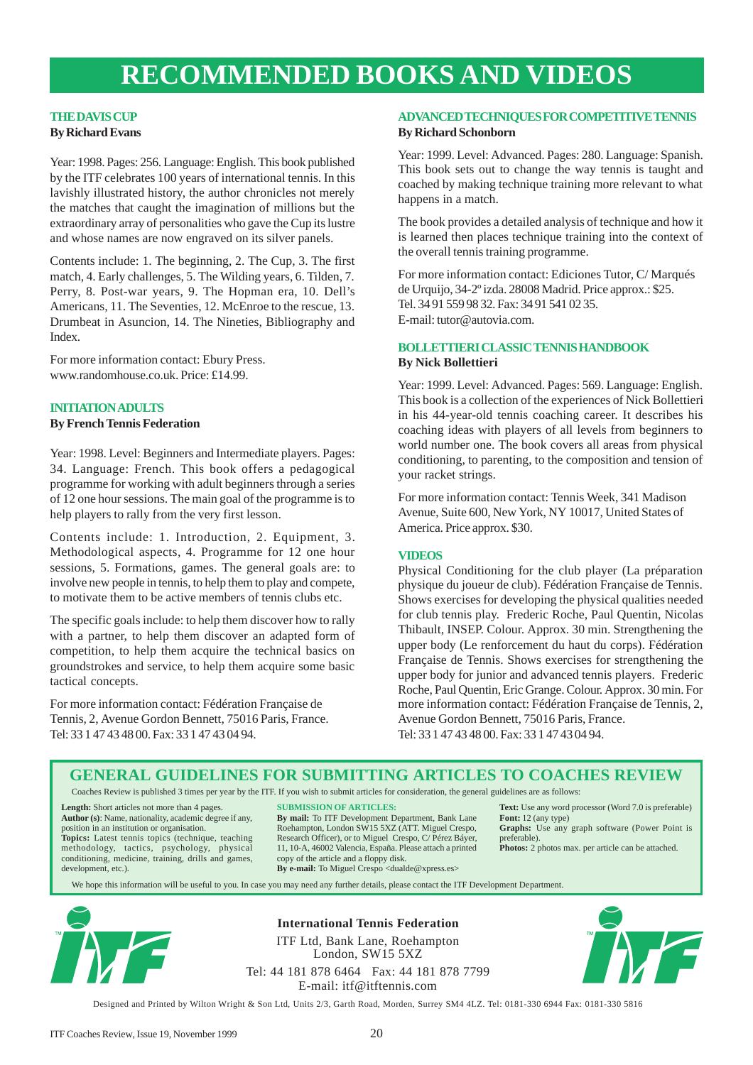### **RECOMMENDED BOOKS AND VIDEOS**

### **THE DAVIS CUP By Richard Evans**

Year: 1998. Pages: 256. Language: English. This book published by the ITF celebrates 100 years of international tennis. In this lavishly illustrated history, the author chronicles not merely the matches that caught the imagination of millions but the extraordinary array of personalities who gave the Cup its lustre and whose names are now engraved on its silver panels.

Contents include: 1. The beginning, 2. The Cup, 3. The first match, 4. Early challenges, 5. The Wilding years, 6. Tilden, 7. Perry, 8. Post-war years, 9. The Hopman era, 10. Dell's Americans, 11. The Seventies, 12. McEnroe to the rescue, 13. Drumbeat in Asuncion, 14. The Nineties, Bibliography and Index.

For more information contact: Ebury Press. www.randomhouse.co.uk. Price: £14.99.

### **INITIATION ADULTS**

**By French Tennis Federation**

Year: 1998. Level: Beginners and Intermediate players. Pages: 34. Language: French. This book offers a pedagogical programme for working with adult beginners through a series of 12 one hour sessions. The main goal of the programme is to help players to rally from the very first lesson.

Contents include: 1. Introduction, 2. Equipment, 3. Methodological aspects, 4. Programme for 12 one hour sessions, 5. Formations, games. The general goals are: to involve new people in tennis, to help them to play and compete, to motivate them to be active members of tennis clubs etc.

The specific goals include: to help them discover how to rally with a partner, to help them discover an adapted form of competition, to help them acquire the technical basics on groundstrokes and service, to help them acquire some basic tactical concepts.

For more information contact: Fédération Française de Tennis, 2, Avenue Gordon Bennett, 75016 Paris, France. Tel: 33 1 47 43 48 00. Fax: 33 1 47 43 04 94.

### **ADVANCED TECHNIQUES FOR COMPETITIVE TENNIS By Richard Schonborn**

Year: 1999. Level: Advanced. Pages: 280. Language: Spanish. This book sets out to change the way tennis is taught and coached by making technique training more relevant to what happens in a match.

The book provides a detailed analysis of technique and how it is learned then places technique training into the context of the overall tennis training programme.

For more information contact: Ediciones Tutor, C/ Marqués de Urquijo, 34-2º izda. 28008 Madrid. Price approx.: \$25. Tel. 34 91 559 98 32. Fax: 34 91 541 02 35. E-mail: tutor@autovia.com.

### **BOLLETTIERI CLASSIC TENNIS HANDBOOK By Nick Bollettieri**

Year: 1999. Level: Advanced. Pages: 569. Language: English. This book is a collection of the experiences of Nick Bollettieri in his 44-year-old tennis coaching career. It describes his coaching ideas with players of all levels from beginners to world number one. The book covers all areas from physical conditioning, to parenting, to the composition and tension of your racket strings.

For more information contact: Tennis Week, 341 Madison Avenue, Suite 600, New York, NY 10017, United States of America. Price approx. \$30.

### **VIDEOS**

Physical Conditioning for the club player (La préparation physique du joueur de club). Fédération Française de Tennis. Shows exercises for developing the physical qualities needed for club tennis play. Frederic Roche, Paul Quentin, Nicolas Thibault, INSEP. Colour. Approx. 30 min. Strengthening the upper body (Le renforcement du haut du corps). Fédération Française de Tennis. Shows exercises for strengthening the upper body for junior and advanced tennis players. Frederic Roche, Paul Quentin, Eric Grange. Colour. Approx. 30 min. For more information contact: Fédération Française de Tennis, 2, Avenue Gordon Bennett, 75016 Paris, France. Tel: 33 1 47 43 48 00. Fax: 33 1 47 43 04 94.

### **GENERAL GUIDELINES FOR SUBMITTING ARTICLES TO COACHES REVIEW**

Coaches Review is published 3 times per year by the ITF. If you wish to submit articles for consideration, the general guidelines are as follows:

**Length:** Short articles not more than 4 pages. **Author (s)**: Name, nationality, academic degree if any, position in an institution or organisation. **Topics:** Latest tennis topics (technique, teaching methodology, tactics, psychology, physical conditioning, medicine, training, drills and games, development, etc.).

#### **SUBMISSION OF ARTICLES:**

**By mail:** To ITF Development Department, Bank Lane Roehampton, London SW15 5XZ (ATT. Miguel Crespo, Research Officer), or to Miguel Crespo, C/ Pérez Báyer, 11, 10-A, 46002 Valencia, España. Please attach a printed copy of the article and a floppy disk. **By e-mail:** To Miguel Crespo <dualde@xpress.es>

**Text:** Use any word processor (Word 7.0 is preferable) **Font:** 12 (any type) **Graphs:** Use any graph software (Power Point is preferable).

**Photos:** 2 photos max. per article can be attached.

We hope this information will be useful to you. In case you may need any further details, please contact the ITF Development Department.



**International Tennis Federation** ITF Ltd, Bank Lane, Roehampton

London, SW15 5XZ Tel: 44 181 878 6464 Fax: 44 181 878 7799 E-mail: itf@itftennis.com



Designed and Printed by Wilton Wright & Son Ltd, Units 2/3, Garth Road, Morden, Surrey SM4 4LZ. Tel: 0181-330 6944 Fax: 0181-330 5816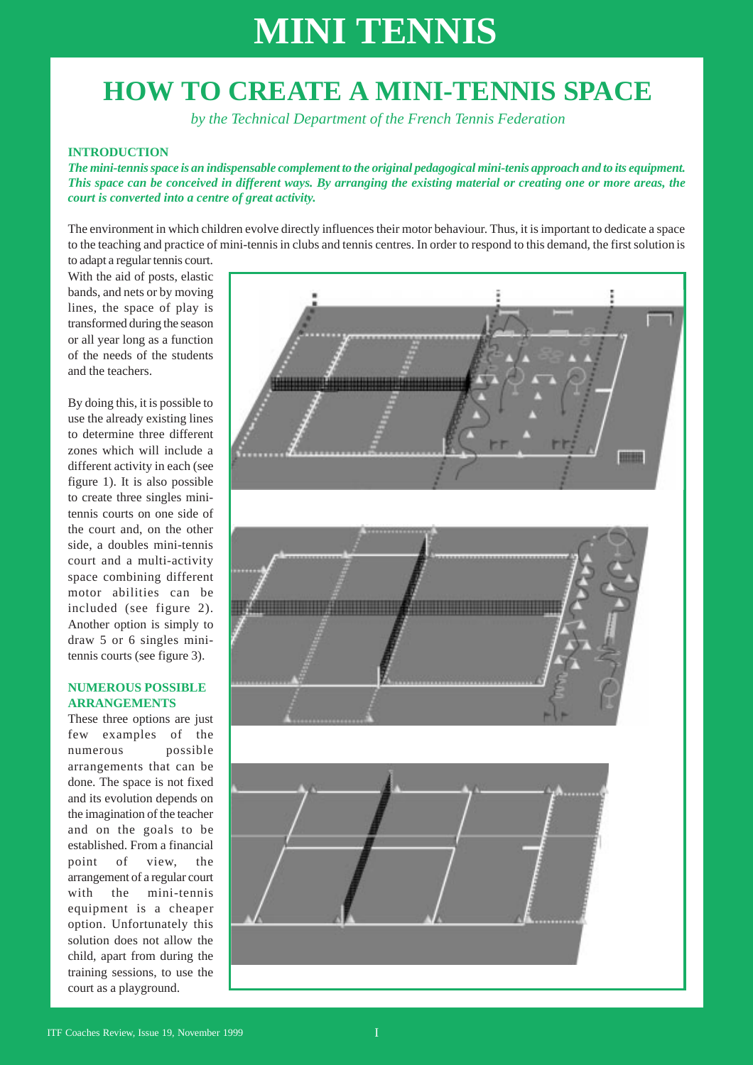## **HOW TO CREATE A MINI-TENNIS SPACE**

*by the Technical Department of the French Tennis Federation*

### **INTRODUCTION**

*The mini-tennis space is an indispensable complement to the original pedagogical mini-tenis approach and to its equipment. This space can be conceived in different ways. By arranging the existing material or creating one or more areas, the court is converted into a centre of great activity.*

The environment in which children evolve directly influences their motor behaviour. Thus, it is important to dedicate a space to the teaching and practice of mini-tennis in clubs and tennis centres. In order to respond to this demand, the first solution is to adapt a regular tennis court.

With the aid of posts, elastic bands, and nets or by moving lines, the space of play is transformed during the season or all year long as a function of the needs of the students and the teachers.

By doing this, it is possible to use the already existing lines to determine three different zones which will include a different activity in each (see figure 1). It is also possible to create three singles minitennis courts on one side of the court and, on the other side, a doubles mini-tennis court and a multi-activity space combining different motor abilities can be included (see figure 2). Another option is simply to draw 5 or 6 singles minitennis courts (see figure 3).

### **NUMEROUS POSSIBLE ARRANGEMENTS**

These three options are just few examples of the numerous possible arrangements that can be done. The space is not fixed and its evolution depends on the imagination of the teacher and on the goals to be established. From a financial point of view, the arrangement of a regular court with the mini-tennis equipment is a cheaper option. Unfortunately this solution does not allow the child, apart from during the training sessions, to use the court as a playground.

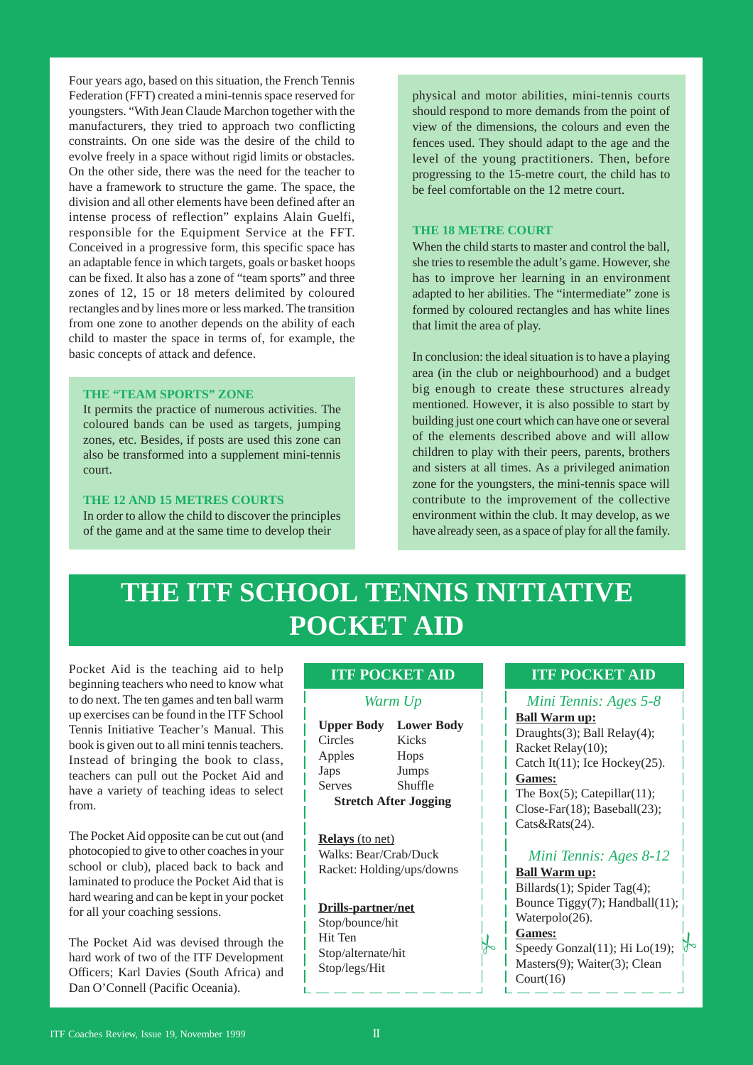Four years ago, based on this situation, the French Tennis Federation (FFT) created a mini-tennis space reserved for youngsters. "With Jean Claude Marchon together with the manufacturers, they tried to approach two conflicting constraints. On one side was the desire of the child to evolve freely in a space without rigid limits or obstacles. On the other side, there was the need for the teacher to have a framework to structure the game. The space, the division and all other elements have been defined after an intense process of reflection" explains Alain Guelfi, responsible for the Equipment Service at the FFT. Conceived in a progressive form, this specific space has an adaptable fence in which targets, goals or basket hoops can be fixed. It also has a zone of "team sports" and three zones of 12, 15 or 18 meters delimited by coloured rectangles and by lines more or less marked. The transition from one zone to another depends on the ability of each child to master the space in terms of, for example, the basic concepts of attack and defence.

#### **THE "TEAM SPORTS" ZONE**

It permits the practice of numerous activities. The coloured bands can be used as targets, jumping zones, etc. Besides, if posts are used this zone can also be transformed into a supplement mini-tennis court.

### **THE 12 AND 15 METRES COURTS**

In order to allow the child to discover the principles of the game and at the same time to develop their

physical and motor abilities, mini-tennis courts should respond to more demands from the point of view of the dimensions, the colours and even the fences used. They should adapt to the age and the level of the young practitioners. Then, before progressing to the 15-metre court, the child has to be feel comfortable on the 12 metre court.

### **THE 18 METRE COURT**

When the child starts to master and control the ball, she tries to resemble the adult's game. However, she has to improve her learning in an environment adapted to her abilities. The "intermediate" zone is formed by coloured rectangles and has white lines that limit the area of play.

In conclusion: the ideal situation is to have a playing area (in the club or neighbourhood) and a budget big enough to create these structures already mentioned. However, it is also possible to start by building just one court which can have one or several of the elements described above and will allow children to play with their peers, parents, brothers and sisters at all times. As a privileged animation zone for the youngsters, the mini-tennis space will contribute to the improvement of the collective environment within the club. It may develop, as we have already seen, as a space of play for all the family.

## **THE ITF SCHOOL TENNIS INITIATIVE POCKET AID**

Pocket Aid is the teaching aid to help beginning teachers who need to know what to do next. The ten games and ten ball warm up exercises can be found in the ITF School Tennis Initiative Teacher's Manual. This book is given out to all mini tennis teachers. Instead of bringing the book to class, teachers can pull out the Pocket Aid and have a variety of teaching ideas to select from.

The Pocket Aid opposite can be cut out (and photocopied to give to other coaches in your school or club), placed back to back and laminated to produce the Pocket Aid that is hard wearing and can be kept in your pocket for all your coaching sessions.

The Pocket Aid was devised through the hard work of two of the ITF Development Officers; Karl Davies (South Africa) and Dan O'Connell (Pacific Oceania).

### **ITF POCKET AID**

### *Warm Up*

| <b>Upper Body</b>            | <b>Lower Body</b> |
|------------------------------|-------------------|
| Circles                      | Kicks             |
| Apples                       | Hops              |
| Japs                         | Jumps             |
| <b>Serves</b>                | Shuffle           |
| <b>Stretch After Jogging</b> |                   |

**Relays** (to net) Walks: Bear/Crab/Duck Racket: Holding/ups/downs

### **Drills-partner/net** Stop/bounce/hit Hit Ten Stop/alternate/hit Stop/legs/Hit

### **ITF POCKET AID**

### *Mini Tennis: Ages 5-8* **Ball Warm up:**

Draughts(3); Ball Relay(4); Racket Relay(10); Catch It $(11)$ ; Ice Hockey $(25)$ . **Games:**

The Box $(5)$ ; Catepillar $(11)$ ; Close-Far(18); Baseball(23); Cats&Rats(24).

### *Mini Tennis: Ages 8-12*

#### **Ball Warm up:**

Billards(1); Spider Tag(4); Bounce Tiggy(7); Handball(11); Waterpolo(26).

### **Games:**

 $\frac{1}{2}$ 

Speedy Gonzal(11); Hi Lo(19); Masters(9); Waiter(3); Clean  $Court(16)$ 

**if**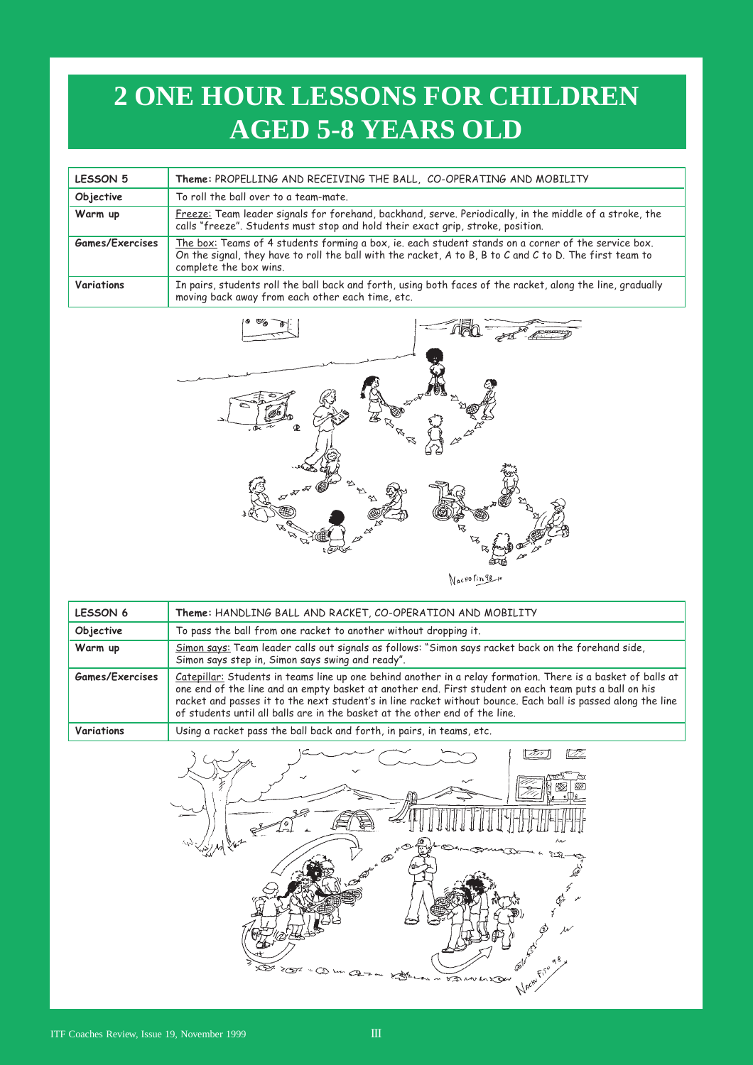## **2 ONE HOUR LESSONS FOR CHILDREN AGED 5-8 YEARS OLD**

| LESSON 5          | Theme: PROPELLING AND RECEIVING THE BALL, CO-OPERATING AND MOBILITY                                                                                                                                                                      |
|-------------------|------------------------------------------------------------------------------------------------------------------------------------------------------------------------------------------------------------------------------------------|
| Objective         | To roll the ball over to a team-mate.                                                                                                                                                                                                    |
| Warm up           | Freeze: Team leader signals for forehand, backhand, serve. Periodically, in the middle of a stroke, the<br>calls "freeze". Students must stop and hold their exact grip, stroke, position.                                               |
| Games/Exercises   | The box: Teams of 4 students forming a box, ie. each student stands on a corner of the service box.<br>On the signal, they have to roll the ball with the racket, A to B, B to C and C to D. The first team to<br>complete the box wins. |
| <b>Variations</b> | In pairs, students roll the ball back and forth, using both faces of the racket, along the line, gradually<br>moving back away from each other each time, etc.                                                                           |



| <b>LESSON 6</b> | Theme: HANDLING BALL AND RACKET, CO-OPERATION AND MOBILITY                                                                                                                                                                                                                                                                                                                                                           |
|-----------------|----------------------------------------------------------------------------------------------------------------------------------------------------------------------------------------------------------------------------------------------------------------------------------------------------------------------------------------------------------------------------------------------------------------------|
| Objective       | To pass the ball from one racket to another without dropping it.                                                                                                                                                                                                                                                                                                                                                     |
| Warm up         | Simon says: Team leader calls out signals as follows: "Simon says racket back on the forehand side,<br>Simon says step in, Simon says swing and ready".                                                                                                                                                                                                                                                              |
| Games/Exercises | Catepillar: Students in teams line up one behind another in a relay formation. There is a basket of balls at<br>one end of the line and an empty basket at another end. First student on each team puts a ball on his<br>racket and passes it to the next student's in line racket without bounce. Each ball is passed along the line<br>of students until all balls are in the basket at the other end of the line. |
| Variations      | Using a racket pass the ball back and forth, in pairs, in teams, etc.                                                                                                                                                                                                                                                                                                                                                |

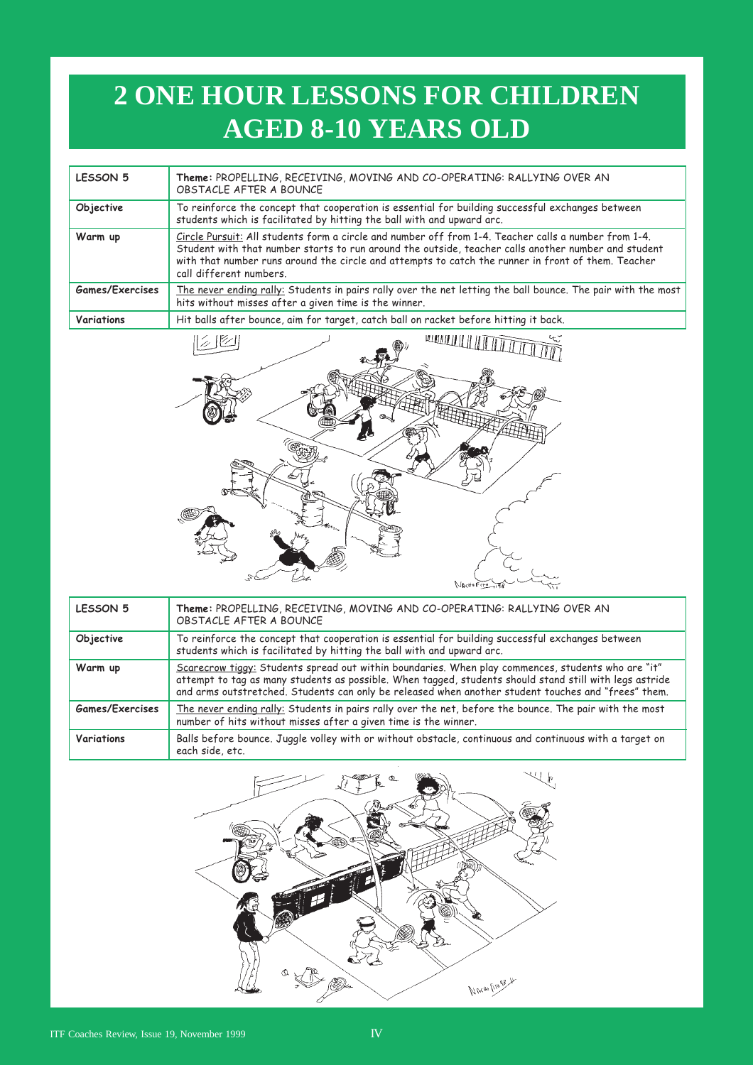## **2 ONE HOUR LESSONS FOR CHILDREN AGED 8-10 YEARS OLD**

| <b>LESSON 5</b> | Theme: PROPELLING, RECEIVING, MOVING AND CO-OPERATING: RALLYING OVER AN<br>OBSTACLE AFTER A BOUNCE                                                                                                                                                                                                                                           |
|-----------------|----------------------------------------------------------------------------------------------------------------------------------------------------------------------------------------------------------------------------------------------------------------------------------------------------------------------------------------------|
| Objective       | To reinforce the concept that cooperation is essential for building successful exchanges between<br>students which is facilitated by hitting the ball with and upward arc.                                                                                                                                                                   |
| Warm up         | Circle Pursuit: All students form a circle and number off from 1-4. Teacher calls a number from 1-4.<br>Student with that number starts to run around the outside, teacher calls another number and student<br>with that number runs around the circle and attempts to catch the runner in front of them. Teacher<br>call different numbers. |
| Games/Exercises | The never ending rally: Students in pairs rally over the net letting the ball bounce. The pair with the most<br>hits without misses after a given time is the winner.                                                                                                                                                                        |
| Variations      | Hit balls after bounce, aim for target, catch ball on racket before hitting it back.                                                                                                                                                                                                                                                         |



| LESSON 5        | Theme: PROPELLING, RECEIVING, MOVING AND CO-OPERATING: RALLYING OVER AN<br>OBSTACLE AFTER A BOUNCE                                                                                                                                                                                                                   |
|-----------------|----------------------------------------------------------------------------------------------------------------------------------------------------------------------------------------------------------------------------------------------------------------------------------------------------------------------|
| Objective       | To reinforce the concept that cooperation is essential for building successful exchanges between<br>students which is facilitated by hitting the ball with and upward arc.                                                                                                                                           |
| Warm up         | "Scarecrow tiggy: Students spread out within boundaries. When play commences, students who are "it<br>attempt to tag as many students as possible. When tagged, students should stand still with legs astride<br>and arms outstretched. Students can only be released when another student touches and "frees" them. |
| Games/Exercises | The never ending rally: Students in pairs rally over the net, before the bounce. The pair with the most<br>number of hits without misses after a given time is the winner.                                                                                                                                           |
| Variations      | Balls before bounce. Juggle volley with or without obstacle, continuous and continuous with a target on<br>each side, etc.                                                                                                                                                                                           |